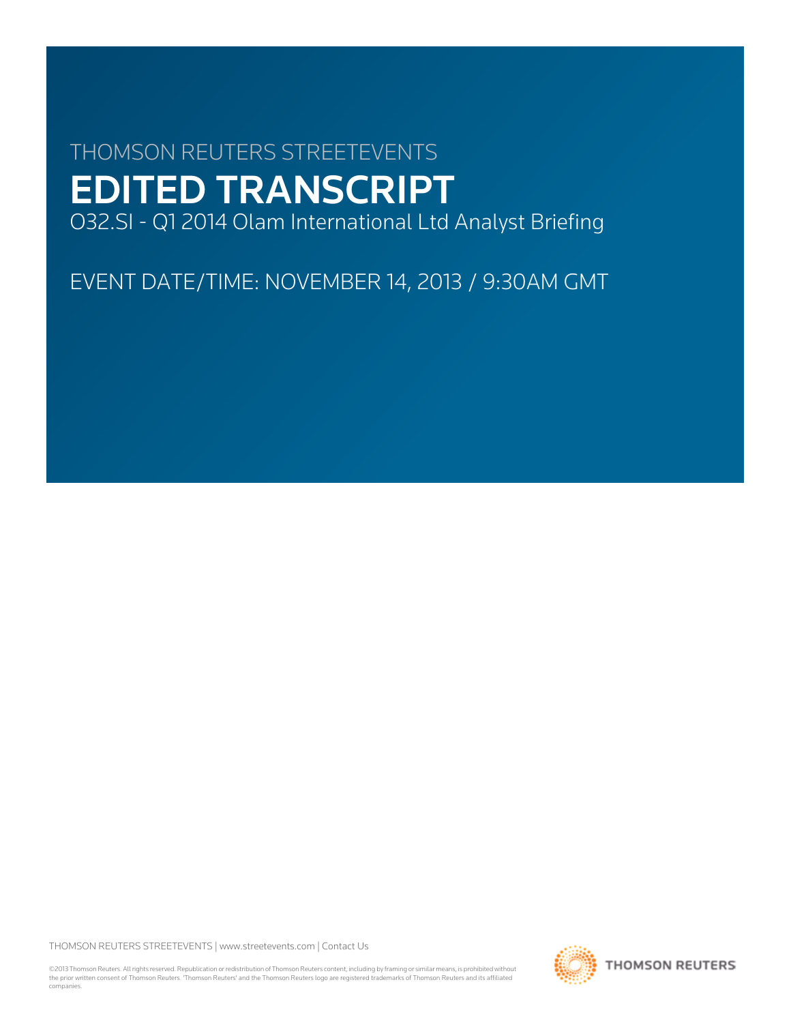# THOMSON REUTERS STREETEVENTS EDITED TRANSCRIPT

O32.SI - Q1 2014 Olam International Ltd Analyst Briefing

EVENT DATE/TIME: NOVEMBER 14, 2013 / 9:30AM GMT

THOMSON REUTERS STREETEVENTS | [www.streetevents.com](http://www.streetevents.com) | [Contact Us](http://www010.streetevents.com/contact.asp)

©2013 Thomson Reuters. All rights reserved. Republication or redistribution of Thomson Reuters content, including by framing or similar means, is prohibited without the prior written consent of Thomson Reuters. 'Thomson Reuters' and the Thomson Reuters logo are registered trademarks of Thomson Reuters and its affiliated companies.

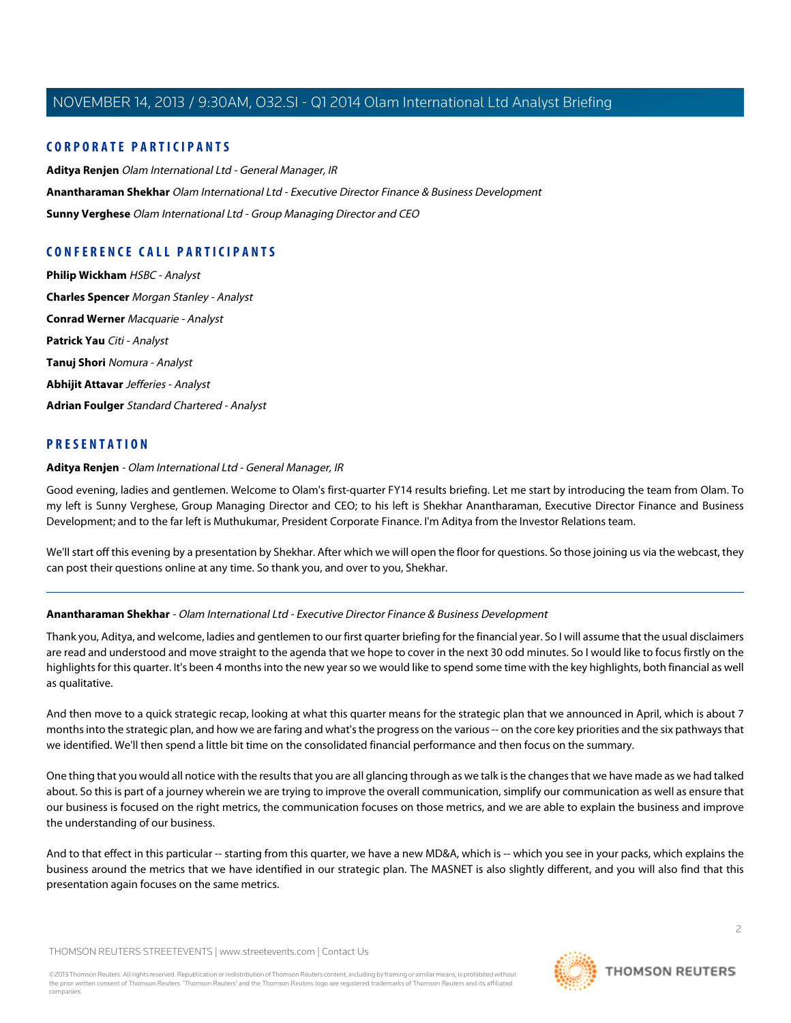# **CORPORATE PARTICIPANTS**

**[Aditya Renjen](#page-1-0)** Olam International Ltd - General Manager, IR **[Anantharaman Shekhar](#page-1-1)** Olam International Ltd - Executive Director Finance & Business Development **[Sunny Verghese](#page-8-0)** Olam International Ltd - Group Managing Director and CEO

# **CONFERENCE CALL PARTICIPANTS**

**[Philip Wickham](#page-8-1)** HSBC - Analyst **[Charles Spencer](#page-15-0)** Morgan Stanley - Analyst **[Conrad Werner](#page-19-0)** Macquarie - Analyst **[Patrick Yau](#page-18-0)** Citi - Analyst **[Tanuj Shori](#page-9-0)** Nomura - Analyst **[Abhijit Attavar](#page-13-0)** Jefferies - Analyst **[Adrian Foulger](#page-14-0)** Standard Chartered - Analyst

# <span id="page-1-0"></span>**PRESENTATION**

# **Aditya Renjen** - Olam International Ltd - General Manager, IR

Good evening, ladies and gentlemen. Welcome to Olam's first-quarter FY14 results briefing. Let me start by introducing the team from Olam. To my left is Sunny Verghese, Group Managing Director and CEO; to his left is Shekhar Anantharaman, Executive Director Finance and Business Development; and to the far left is Muthukumar, President Corporate Finance. I'm Aditya from the Investor Relations team.

<span id="page-1-1"></span>We'll start off this evening by a presentation by Shekhar. After which we will open the floor for questions. So those joining us via the webcast, they can post their questions online at any time. So thank you, and over to you, Shekhar.

# **Anantharaman Shekhar** - Olam International Ltd - Executive Director Finance & Business Development

Thank you, Aditya, and welcome, ladies and gentlemen to our first quarter briefing for the financial year. So I will assume that the usual disclaimers are read and understood and move straight to the agenda that we hope to cover in the next 30 odd minutes. So I would like to focus firstly on the highlights for this quarter. It's been 4 months into the new year so we would like to spend some time with the key highlights, both financial as well as qualitative.

And then move to a quick strategic recap, looking at what this quarter means for the strategic plan that we announced in April, which is about 7 months into the strategic plan, and how we are faring and what's the progress on the various -- on the core key priorities and the six pathways that we identified. We'll then spend a little bit time on the consolidated financial performance and then focus on the summary.

One thing that you would all notice with the results that you are all glancing through as we talk is the changes that we have made as we had talked about. So this is part of a journey wherein we are trying to improve the overall communication, simplify our communication as well as ensure that our business is focused on the right metrics, the communication focuses on those metrics, and we are able to explain the business and improve the understanding of our business.

And to that effect in this particular -- starting from this quarter, we have a new MD&A, which is -- which you see in your packs, which explains the business around the metrics that we have identified in our strategic plan. The MASNET is also slightly different, and you will also find that this presentation again focuses on the same metrics.

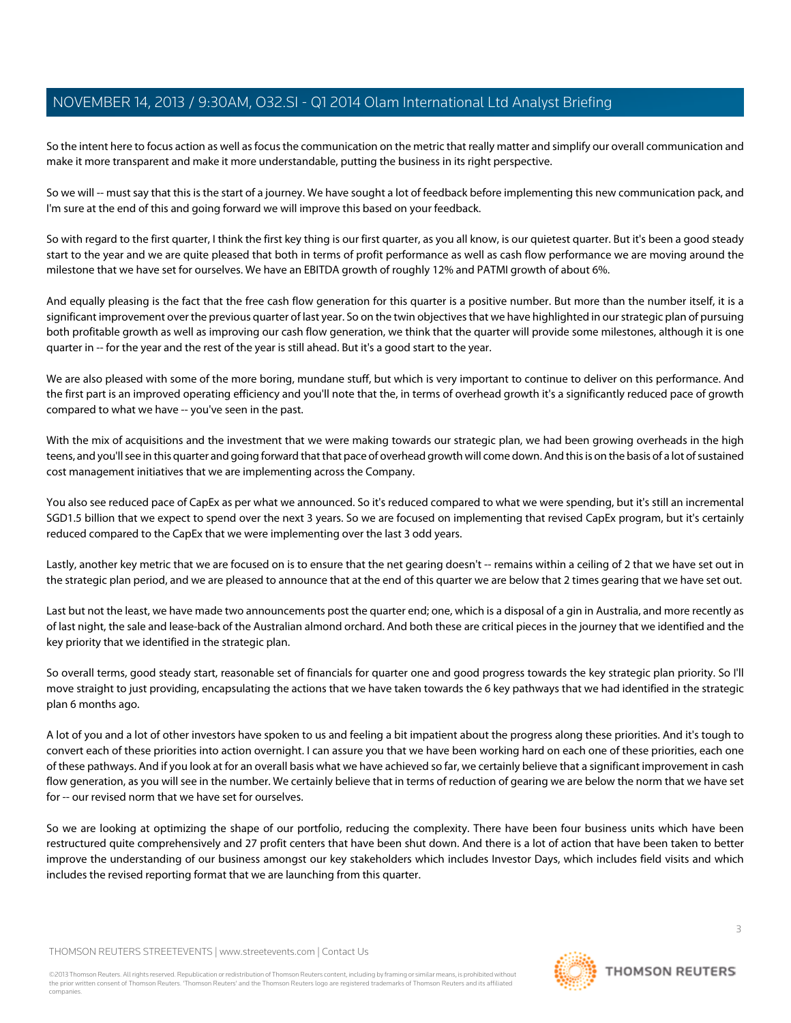So the intent here to focus action as well as focus the communication on the metric that really matter and simplify our overall communication and make it more transparent and make it more understandable, putting the business in its right perspective.

So we will -- must say that this is the start of a journey. We have sought a lot of feedback before implementing this new communication pack, and I'm sure at the end of this and going forward we will improve this based on your feedback.

So with regard to the first quarter, I think the first key thing is our first quarter, as you all know, is our quietest quarter. But it's been a good steady start to the year and we are quite pleased that both in terms of profit performance as well as cash flow performance we are moving around the milestone that we have set for ourselves. We have an EBITDA growth of roughly 12% and PATMI growth of about 6%.

And equally pleasing is the fact that the free cash flow generation for this quarter is a positive number. But more than the number itself, it is a significant improvement over the previous quarter of last year. So on the twin objectives that we have highlighted in our strategic plan of pursuing both profitable growth as well as improving our cash flow generation, we think that the quarter will provide some milestones, although it is one quarter in -- for the year and the rest of the year is still ahead. But it's a good start to the year.

We are also pleased with some of the more boring, mundane stuff, but which is very important to continue to deliver on this performance. And the first part is an improved operating efficiency and you'll note that the, in terms of overhead growth it's a significantly reduced pace of growth compared to what we have -- you've seen in the past.

With the mix of acquisitions and the investment that we were making towards our strategic plan, we had been growing overheads in the high teens, and you'll see in this quarter and going forward that that pace of overhead growth will come down. And this is on the basis of a lot of sustained cost management initiatives that we are implementing across the Company.

You also see reduced pace of CapEx as per what we announced. So it's reduced compared to what we were spending, but it's still an incremental SGD1.5 billion that we expect to spend over the next 3 years. So we are focused on implementing that revised CapEx program, but it's certainly reduced compared to the CapEx that we were implementing over the last 3 odd years.

Lastly, another key metric that we are focused on is to ensure that the net gearing doesn't -- remains within a ceiling of 2 that we have set out in the strategic plan period, and we are pleased to announce that at the end of this quarter we are below that 2 times gearing that we have set out.

Last but not the least, we have made two announcements post the quarter end; one, which is a disposal of a gin in Australia, and more recently as of last night, the sale and lease-back of the Australian almond orchard. And both these are critical pieces in the journey that we identified and the key priority that we identified in the strategic plan.

So overall terms, good steady start, reasonable set of financials for quarter one and good progress towards the key strategic plan priority. So I'll move straight to just providing, encapsulating the actions that we have taken towards the 6 key pathways that we had identified in the strategic plan 6 months ago.

A lot of you and a lot of other investors have spoken to us and feeling a bit impatient about the progress along these priorities. And it's tough to convert each of these priorities into action overnight. I can assure you that we have been working hard on each one of these priorities, each one of these pathways. And if you look at for an overall basis what we have achieved so far, we certainly believe that a significant improvement in cash flow generation, as you will see in the number. We certainly believe that in terms of reduction of gearing we are below the norm that we have set for -- our revised norm that we have set for ourselves.

So we are looking at optimizing the shape of our portfolio, reducing the complexity. There have been four business units which have been restructured quite comprehensively and 27 profit centers that have been shut down. And there is a lot of action that have been taken to better improve the understanding of our business amongst our key stakeholders which includes Investor Days, which includes field visits and which includes the revised reporting format that we are launching from this quarter.

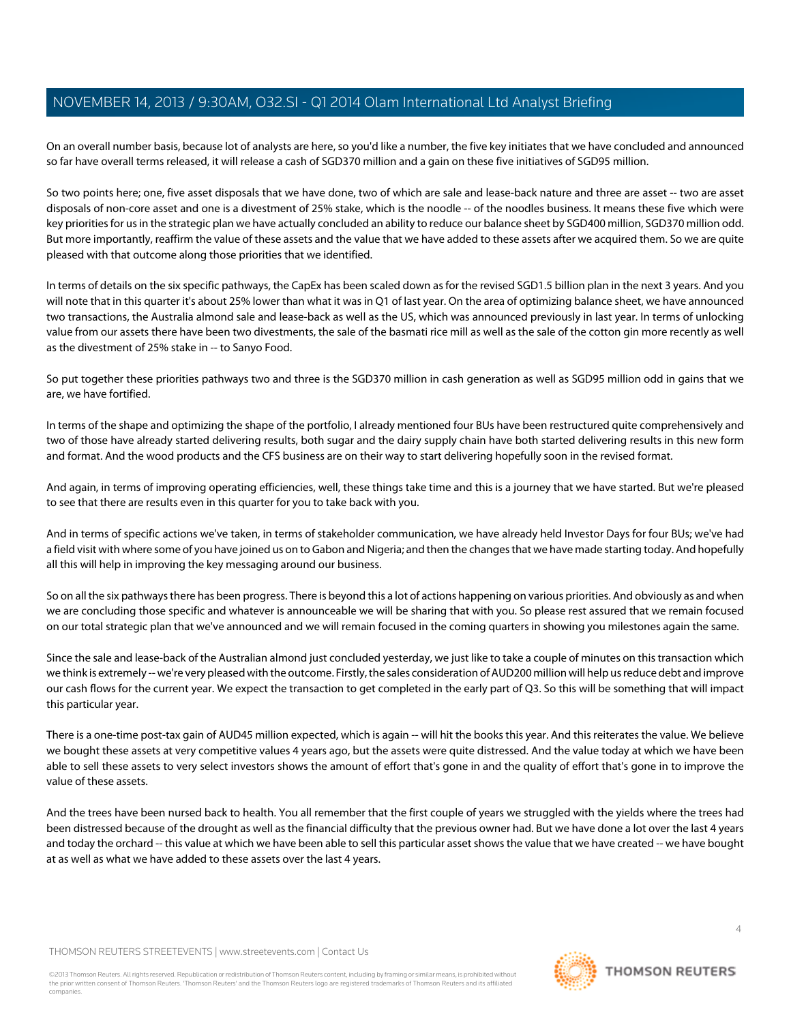On an overall number basis, because lot of analysts are here, so you'd like a number, the five key initiates that we have concluded and announced so far have overall terms released, it will release a cash of SGD370 million and a gain on these five initiatives of SGD95 million.

So two points here; one, five asset disposals that we have done, two of which are sale and lease-back nature and three are asset -- two are asset disposals of non-core asset and one is a divestment of 25% stake, which is the noodle -- of the noodles business. It means these five which were key priorities for us in the strategic plan we have actually concluded an ability to reduce our balance sheet by SGD400 million, SGD370 million odd. But more importantly, reaffirm the value of these assets and the value that we have added to these assets after we acquired them. So we are quite pleased with that outcome along those priorities that we identified.

In terms of details on the six specific pathways, the CapEx has been scaled down as for the revised SGD1.5 billion plan in the next 3 years. And you will note that in this quarter it's about 25% lower than what it was in Q1 of last year. On the area of optimizing balance sheet, we have announced two transactions, the Australia almond sale and lease-back as well as the US, which was announced previously in last year. In terms of unlocking value from our assets there have been two divestments, the sale of the basmati rice mill as well as the sale of the cotton gin more recently as well as the divestment of 25% stake in -- to Sanyo Food.

So put together these priorities pathways two and three is the SGD370 million in cash generation as well as SGD95 million odd in gains that we are, we have fortified.

In terms of the shape and optimizing the shape of the portfolio, I already mentioned four BUs have been restructured quite comprehensively and two of those have already started delivering results, both sugar and the dairy supply chain have both started delivering results in this new form and format. And the wood products and the CFS business are on their way to start delivering hopefully soon in the revised format.

And again, in terms of improving operating efficiencies, well, these things take time and this is a journey that we have started. But we're pleased to see that there are results even in this quarter for you to take back with you.

And in terms of specific actions we've taken, in terms of stakeholder communication, we have already held Investor Days for four BUs; we've had a field visit with where some of you have joined us on to Gabon and Nigeria; and then the changes that we have made starting today. And hopefully all this will help in improving the key messaging around our business.

So on all the six pathways there has been progress. There is beyond this a lot of actions happening on various priorities. And obviously as and when we are concluding those specific and whatever is announceable we will be sharing that with you. So please rest assured that we remain focused on our total strategic plan that we've announced and we will remain focused in the coming quarters in showing you milestones again the same.

Since the sale and lease-back of the Australian almond just concluded yesterday, we just like to take a couple of minutes on this transaction which we think is extremely -- we're very pleased with the outcome. Firstly, the sales consideration of AUD200 million will help us reduce debt and improve our cash flows for the current year. We expect the transaction to get completed in the early part of Q3. So this will be something that will impact this particular year.

There is a one-time post-tax gain of AUD45 million expected, which is again -- will hit the books this year. And this reiterates the value. We believe we bought these assets at very competitive values 4 years ago, but the assets were quite distressed. And the value today at which we have been able to sell these assets to very select investors shows the amount of effort that's gone in and the quality of effort that's gone in to improve the value of these assets.

And the trees have been nursed back to health. You all remember that the first couple of years we struggled with the yields where the trees had been distressed because of the drought as well as the financial difficulty that the previous owner had. But we have done a lot over the last 4 years and today the orchard -- this value at which we have been able to sell this particular asset shows the value that we have created -- we have bought at as well as what we have added to these assets over the last 4 years.

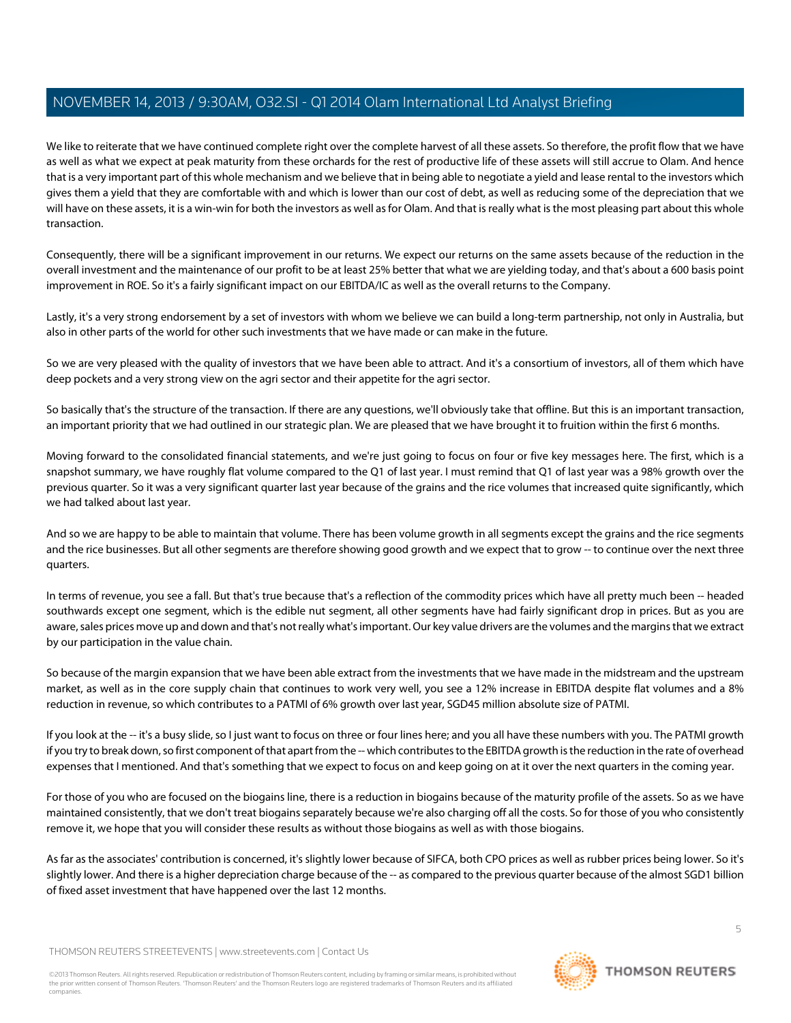We like to reiterate that we have continued complete right over the complete harvest of all these assets. So therefore, the profit flow that we have as well as what we expect at peak maturity from these orchards for the rest of productive life of these assets will still accrue to Olam. And hence that is a very important part of this whole mechanism and we believe that in being able to negotiate a yield and lease rental to the investors which gives them a yield that they are comfortable with and which is lower than our cost of debt, as well as reducing some of the depreciation that we will have on these assets, it is a win-win for both the investors as well as for Olam. And that is really what is the most pleasing part about this whole transaction.

Consequently, there will be a significant improvement in our returns. We expect our returns on the same assets because of the reduction in the overall investment and the maintenance of our profit to be at least 25% better that what we are yielding today, and that's about a 600 basis point improvement in ROE. So it's a fairly significant impact on our EBITDA/IC as well as the overall returns to the Company.

Lastly, it's a very strong endorsement by a set of investors with whom we believe we can build a long-term partnership, not only in Australia, but also in other parts of the world for other such investments that we have made or can make in the future.

So we are very pleased with the quality of investors that we have been able to attract. And it's a consortium of investors, all of them which have deep pockets and a very strong view on the agri sector and their appetite for the agri sector.

So basically that's the structure of the transaction. If there are any questions, we'll obviously take that offline. But this is an important transaction, an important priority that we had outlined in our strategic plan. We are pleased that we have brought it to fruition within the first 6 months.

Moving forward to the consolidated financial statements, and we're just going to focus on four or five key messages here. The first, which is a snapshot summary, we have roughly flat volume compared to the Q1 of last year. I must remind that Q1 of last year was a 98% growth over the previous quarter. So it was a very significant quarter last year because of the grains and the rice volumes that increased quite significantly, which we had talked about last year.

And so we are happy to be able to maintain that volume. There has been volume growth in all segments except the grains and the rice segments and the rice businesses. But all other segments are therefore showing good growth and we expect that to grow -- to continue over the next three quarters.

In terms of revenue, you see a fall. But that's true because that's a reflection of the commodity prices which have all pretty much been -- headed southwards except one segment, which is the edible nut segment, all other segments have had fairly significant drop in prices. But as you are aware, sales prices move up and down and that's not really what's important. Our key value drivers are the volumes and the margins that we extract by our participation in the value chain.

So because of the margin expansion that we have been able extract from the investments that we have made in the midstream and the upstream market, as well as in the core supply chain that continues to work very well, you see a 12% increase in EBITDA despite flat volumes and a 8% reduction in revenue, so which contributes to a PATMI of 6% growth over last year, SGD45 million absolute size of PATMI.

If you look at the -- it's a busy slide, so I just want to focus on three or four lines here; and you all have these numbers with you. The PATMI growth if you try to break down, so first component of that apart from the -- which contributes to the EBITDA growth is the reduction in the rate of overhead expenses that I mentioned. And that's something that we expect to focus on and keep going on at it over the next quarters in the coming year.

For those of you who are focused on the biogains line, there is a reduction in biogains because of the maturity profile of the assets. So as we have maintained consistently, that we don't treat biogains separately because we're also charging off all the costs. So for those of you who consistently remove it, we hope that you will consider these results as without those biogains as well as with those biogains.

As far as the associates' contribution is concerned, it's slightly lower because of SIFCA, both CPO prices as well as rubber prices being lower. So it's slightly lower. And there is a higher depreciation charge because of the -- as compared to the previous quarter because of the almost SGD1 billion of fixed asset investment that have happened over the last 12 months.

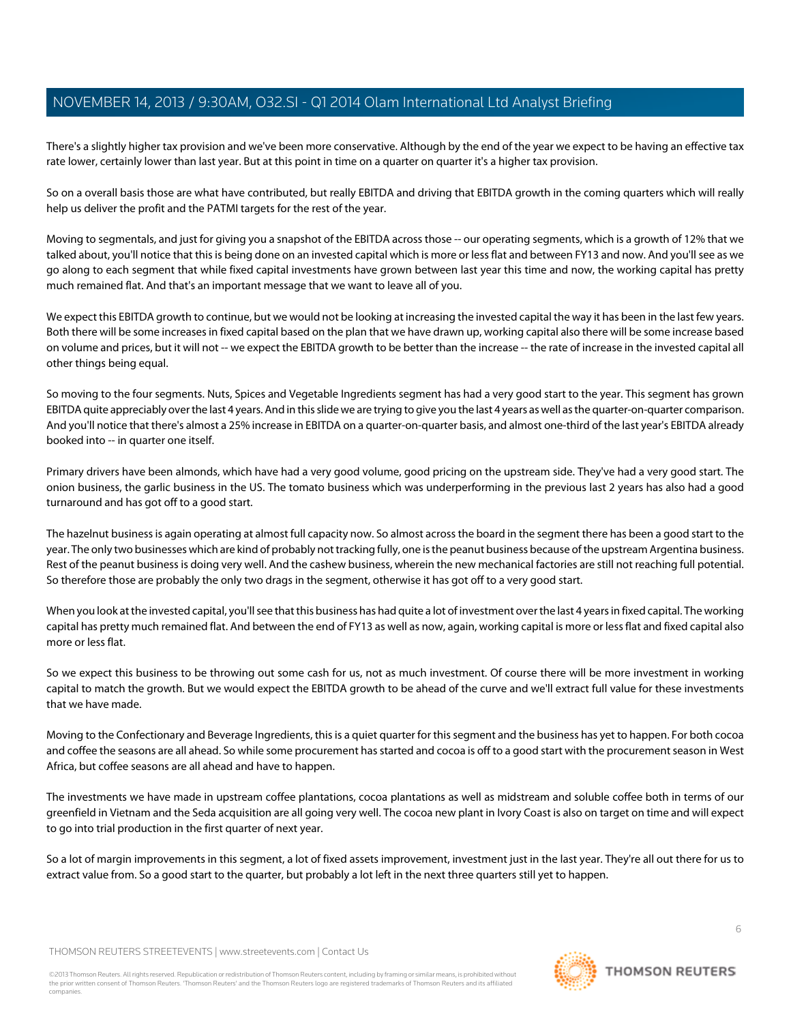There's a slightly higher tax provision and we've been more conservative. Although by the end of the year we expect to be having an effective tax rate lower, certainly lower than last year. But at this point in time on a quarter on quarter it's a higher tax provision.

So on a overall basis those are what have contributed, but really EBITDA and driving that EBITDA growth in the coming quarters which will really help us deliver the profit and the PATMI targets for the rest of the year.

Moving to segmentals, and just for giving you a snapshot of the EBITDA across those -- our operating segments, which is a growth of 12% that we talked about, you'll notice that this is being done on an invested capital which is more or less flat and between FY13 and now. And you'll see as we go along to each segment that while fixed capital investments have grown between last year this time and now, the working capital has pretty much remained flat. And that's an important message that we want to leave all of you.

We expect this EBITDA growth to continue, but we would not be looking at increasing the invested capital the way it has been in the last few years. Both there will be some increases in fixed capital based on the plan that we have drawn up, working capital also there will be some increase based on volume and prices, but it will not -- we expect the EBITDA growth to be better than the increase -- the rate of increase in the invested capital all other things being equal.

So moving to the four segments. Nuts, Spices and Vegetable Ingredients segment has had a very good start to the year. This segment has grown EBITDA quite appreciably over the last 4 years. And in this slide we are trying to give you the last 4 years as well as the quarter-on-quarter comparison. And you'll notice that there's almost a 25% increase in EBITDA on a quarter-on-quarter basis, and almost one-third of the last year's EBITDA already booked into -- in quarter one itself.

Primary drivers have been almonds, which have had a very good volume, good pricing on the upstream side. They've had a very good start. The onion business, the garlic business in the US. The tomato business which was underperforming in the previous last 2 years has also had a good turnaround and has got off to a good start.

The hazelnut business is again operating at almost full capacity now. So almost across the board in the segment there has been a good start to the year. The only two businesses which are kind of probably not tracking fully, one is the peanut business because of the upstream Argentina business. Rest of the peanut business is doing very well. And the cashew business, wherein the new mechanical factories are still not reaching full potential. So therefore those are probably the only two drags in the segment, otherwise it has got off to a very good start.

When you look at the invested capital, you'll see that this business has had quite a lot of investment over the last 4 years in fixed capital. The working capital has pretty much remained flat. And between the end of FY13 as well as now, again, working capital is more or less flat and fixed capital also more or less flat.

So we expect this business to be throwing out some cash for us, not as much investment. Of course there will be more investment in working capital to match the growth. But we would expect the EBITDA growth to be ahead of the curve and we'll extract full value for these investments that we have made.

Moving to the Confectionary and Beverage Ingredients, this is a quiet quarter for this segment and the business has yet to happen. For both cocoa and coffee the seasons are all ahead. So while some procurement has started and cocoa is off to a good start with the procurement season in West Africa, but coffee seasons are all ahead and have to happen.

The investments we have made in upstream coffee plantations, cocoa plantations as well as midstream and soluble coffee both in terms of our greenfield in Vietnam and the Seda acquisition are all going very well. The cocoa new plant in Ivory Coast is also on target on time and will expect to go into trial production in the first quarter of next year.

So a lot of margin improvements in this segment, a lot of fixed assets improvement, investment just in the last year. They're all out there for us to extract value from. So a good start to the quarter, but probably a lot left in the next three quarters still yet to happen.

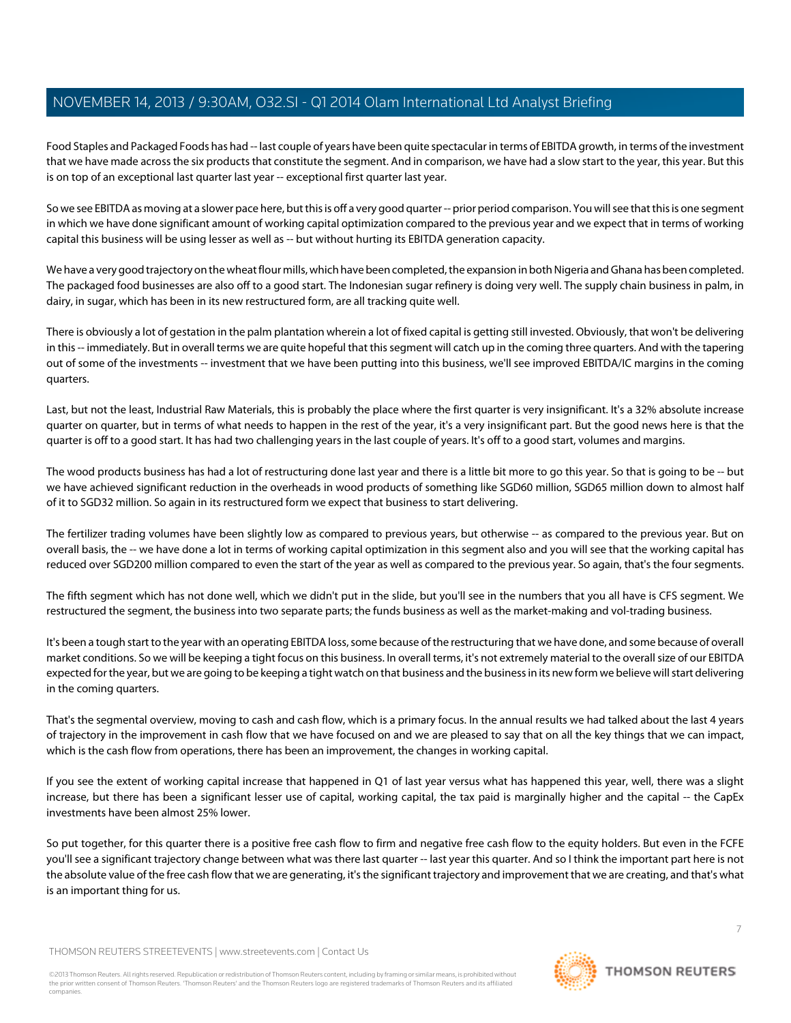Food Staples and Packaged Foods has had -- last couple of years have been quite spectacular in terms of EBITDA growth, in terms of the investment that we have made across the six products that constitute the segment. And in comparison, we have had a slow start to the year, this year. But this is on top of an exceptional last quarter last year -- exceptional first quarter last year.

So we see EBITDA as moving at a slower pace here, but this is off a very good quarter -- prior period comparison. You will see that this is one segment in which we have done significant amount of working capital optimization compared to the previous year and we expect that in terms of working capital this business will be using lesser as well as -- but without hurting its EBITDA generation capacity.

We have a very good trajectory on the wheat flour mills, which have been completed, the expansion in both Nigeria and Ghana has been completed. The packaged food businesses are also off to a good start. The Indonesian sugar refinery is doing very well. The supply chain business in palm, in dairy, in sugar, which has been in its new restructured form, are all tracking quite well.

There is obviously a lot of gestation in the palm plantation wherein a lot of fixed capital is getting still invested. Obviously, that won't be delivering in this -- immediately. But in overall terms we are quite hopeful that this segment will catch up in the coming three quarters. And with the tapering out of some of the investments -- investment that we have been putting into this business, we'll see improved EBITDA/IC margins in the coming quarters.

Last, but not the least, Industrial Raw Materials, this is probably the place where the first quarter is very insignificant. It's a 32% absolute increase quarter on quarter, but in terms of what needs to happen in the rest of the year, it's a very insignificant part. But the good news here is that the quarter is off to a good start. It has had two challenging years in the last couple of years. It's off to a good start, volumes and margins.

The wood products business has had a lot of restructuring done last year and there is a little bit more to go this year. So that is going to be -- but we have achieved significant reduction in the overheads in wood products of something like SGD60 million, SGD65 million down to almost half of it to SGD32 million. So again in its restructured form we expect that business to start delivering.

The fertilizer trading volumes have been slightly low as compared to previous years, but otherwise -- as compared to the previous year. But on overall basis, the -- we have done a lot in terms of working capital optimization in this segment also and you will see that the working capital has reduced over SGD200 million compared to even the start of the year as well as compared to the previous year. So again, that's the four segments.

The fifth segment which has not done well, which we didn't put in the slide, but you'll see in the numbers that you all have is CFS segment. We restructured the segment, the business into two separate parts; the funds business as well as the market-making and vol-trading business.

It's been a tough start to the year with an operating EBITDA loss, some because of the restructuring that we have done, and some because of overall market conditions. So we will be keeping a tight focus on this business. In overall terms, it's not extremely material to the overall size of our EBITDA expected for the year, but we are going to be keeping a tight watch on that business and the business in its new form we believe will start delivering in the coming quarters.

That's the segmental overview, moving to cash and cash flow, which is a primary focus. In the annual results we had talked about the last 4 years of trajectory in the improvement in cash flow that we have focused on and we are pleased to say that on all the key things that we can impact, which is the cash flow from operations, there has been an improvement, the changes in working capital.

If you see the extent of working capital increase that happened in Q1 of last year versus what has happened this year, well, there was a slight increase, but there has been a significant lesser use of capital, working capital, the tax paid is marginally higher and the capital -- the CapEx investments have been almost 25% lower.

So put together, for this quarter there is a positive free cash flow to firm and negative free cash flow to the equity holders. But even in the FCFE you'll see a significant trajectory change between what was there last quarter -- last year this quarter. And so I think the important part here is not the absolute value of the free cash flow that we are generating, it's the significant trajectory and improvement that we are creating, and that's what is an important thing for us.

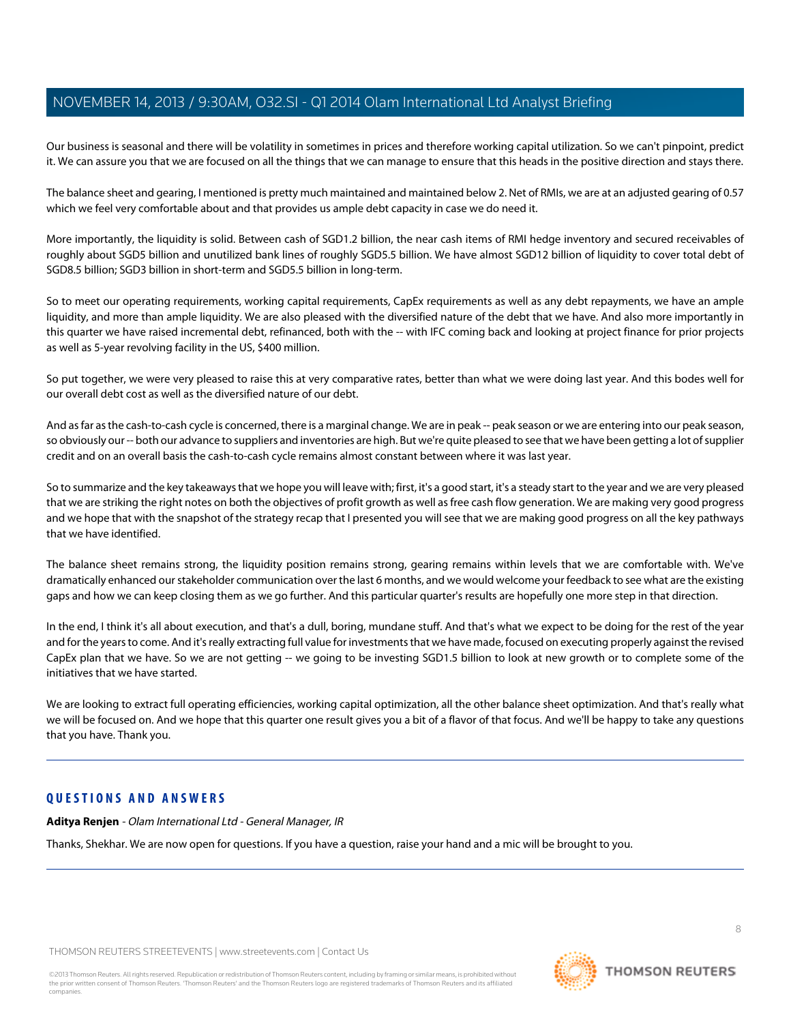Our business is seasonal and there will be volatility in sometimes in prices and therefore working capital utilization. So we can't pinpoint, predict it. We can assure you that we are focused on all the things that we can manage to ensure that this heads in the positive direction and stays there.

The balance sheet and gearing, I mentioned is pretty much maintained and maintained below 2. Net of RMIs, we are at an adjusted gearing of 0.57 which we feel very comfortable about and that provides us ample debt capacity in case we do need it.

More importantly, the liquidity is solid. Between cash of SGD1.2 billion, the near cash items of RMI hedge inventory and secured receivables of roughly about SGD5 billion and unutilized bank lines of roughly SGD5.5 billion. We have almost SGD12 billion of liquidity to cover total debt of SGD8.5 billion; SGD3 billion in short-term and SGD5.5 billion in long-term.

So to meet our operating requirements, working capital requirements, CapEx requirements as well as any debt repayments, we have an ample liquidity, and more than ample liquidity. We are also pleased with the diversified nature of the debt that we have. And also more importantly in this quarter we have raised incremental debt, refinanced, both with the -- with IFC coming back and looking at project finance for prior projects as well as 5-year revolving facility in the US, \$400 million.

So put together, we were very pleased to raise this at very comparative rates, better than what we were doing last year. And this bodes well for our overall debt cost as well as the diversified nature of our debt.

And as far as the cash-to-cash cycle is concerned, there is a marginal change. We are in peak -- peak season or we are entering into our peak season, so obviously our -- both our advance to suppliers and inventories are high. But we're quite pleased to see that we have been getting a lot of supplier credit and on an overall basis the cash-to-cash cycle remains almost constant between where it was last year.

So to summarize and the key takeaways that we hope you will leave with; first, it's a good start, it's a steady start to the year and we are very pleased that we are striking the right notes on both the objectives of profit growth as well as free cash flow generation. We are making very good progress and we hope that with the snapshot of the strategy recap that I presented you will see that we are making good progress on all the key pathways that we have identified.

The balance sheet remains strong, the liquidity position remains strong, gearing remains within levels that we are comfortable with. We've dramatically enhanced our stakeholder communication over the last 6 months, and we would welcome your feedback to see what are the existing gaps and how we can keep closing them as we go further. And this particular quarter's results are hopefully one more step in that direction.

In the end, I think it's all about execution, and that's a dull, boring, mundane stuff. And that's what we expect to be doing for the rest of the year and for the years to come. And it's really extracting full value for investments that we have made, focused on executing properly against the revised CapEx plan that we have. So we are not getting -- we going to be investing SGD1.5 billion to look at new growth or to complete some of the initiatives that we have started.

We are looking to extract full operating efficiencies, working capital optimization, all the other balance sheet optimization. And that's really what we will be focused on. And we hope that this quarter one result gives you a bit of a flavor of that focus. And we'll be happy to take any questions that you have. Thank you.

# **QUESTIONS AND ANSWERS**

**Aditya Renjen** - Olam International Ltd - General Manager, IR

Thanks, Shekhar. We are now open for questions. If you have a question, raise your hand and a mic will be brought to you.

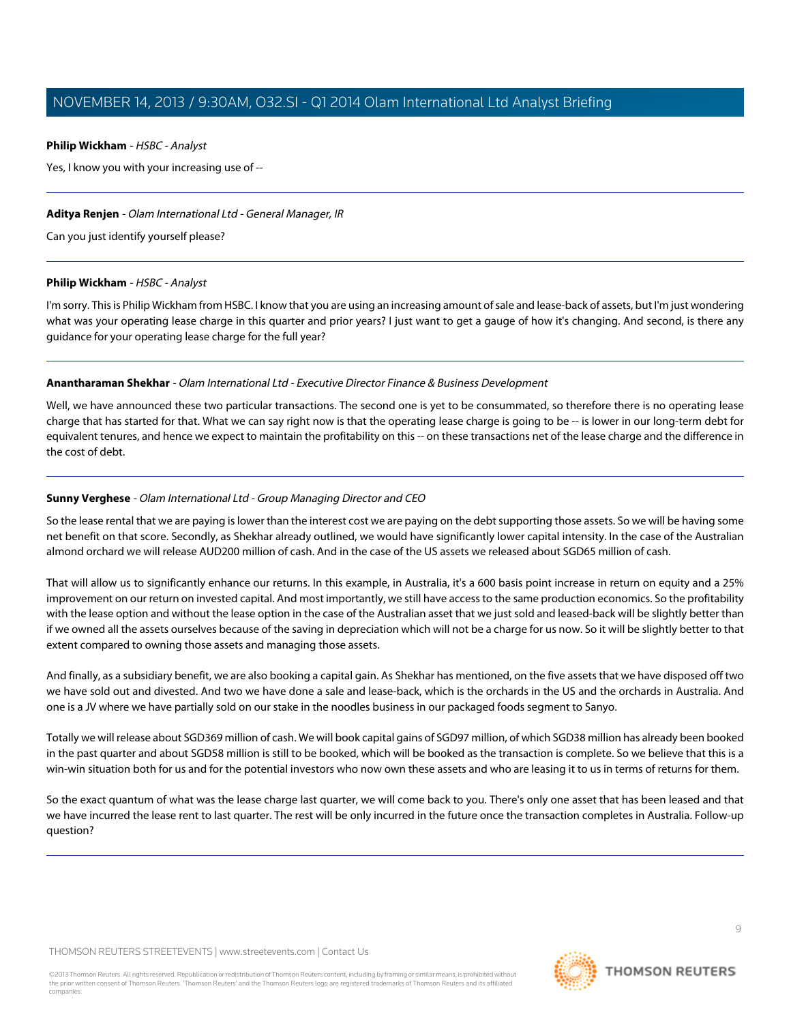# <span id="page-8-1"></span>**Philip Wickham** - HSBC - Analyst

Yes, I know you with your increasing use of --

# **Aditya Renjen** - Olam International Ltd - General Manager, IR

Can you just identify yourself please?

# **Philip Wickham** - HSBC - Analyst

I'm sorry. This is Philip Wickham from HSBC. I know that you are using an increasing amount of sale and lease-back of assets, but I'm just wondering what was your operating lease charge in this quarter and prior years? I just want to get a gauge of how it's changing. And second, is there any guidance for your operating lease charge for the full year?

# **Anantharaman Shekhar** - Olam International Ltd - Executive Director Finance & Business Development

<span id="page-8-0"></span>Well, we have announced these two particular transactions. The second one is yet to be consummated, so therefore there is no operating lease charge that has started for that. What we can say right now is that the operating lease charge is going to be -- is lower in our long-term debt for equivalent tenures, and hence we expect to maintain the profitability on this -- on these transactions net of the lease charge and the difference in the cost of debt.

# **Sunny Verghese** - Olam International Ltd - Group Managing Director and CEO

So the lease rental that we are paying is lower than the interest cost we are paying on the debt supporting those assets. So we will be having some net benefit on that score. Secondly, as Shekhar already outlined, we would have significantly lower capital intensity. In the case of the Australian almond orchard we will release AUD200 million of cash. And in the case of the US assets we released about SGD65 million of cash.

That will allow us to significantly enhance our returns. In this example, in Australia, it's a 600 basis point increase in return on equity and a 25% improvement on our return on invested capital. And most importantly, we still have access to the same production economics. So the profitability with the lease option and without the lease option in the case of the Australian asset that we just sold and leased-back will be slightly better than if we owned all the assets ourselves because of the saving in depreciation which will not be a charge for us now. So it will be slightly better to that extent compared to owning those assets and managing those assets.

And finally, as a subsidiary benefit, we are also booking a capital gain. As Shekhar has mentioned, on the five assets that we have disposed off two we have sold out and divested. And two we have done a sale and lease-back, which is the orchards in the US and the orchards in Australia. And one is a JV where we have partially sold on our stake in the noodles business in our packaged foods segment to Sanyo.

Totally we will release about SGD369 million of cash. We will book capital gains of SGD97 million, of which SGD38 million has already been booked in the past quarter and about SGD58 million is still to be booked, which will be booked as the transaction is complete. So we believe that this is a win-win situation both for us and for the potential investors who now own these assets and who are leasing it to us in terms of returns for them.

So the exact quantum of what was the lease charge last quarter, we will come back to you. There's only one asset that has been leased and that we have incurred the lease rent to last quarter. The rest will be only incurred in the future once the transaction completes in Australia. Follow-up question?

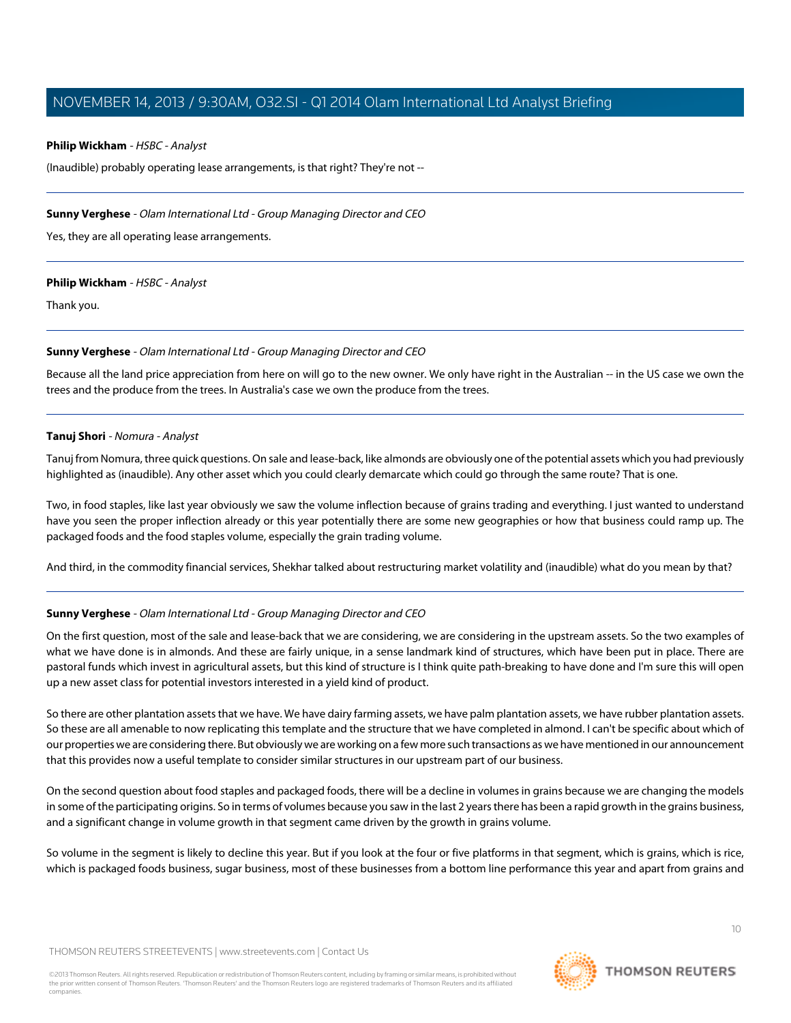### **Philip Wickham** - HSBC - Analyst

(Inaudible) probably operating lease arrangements, is that right? They're not --

### **Sunny Verghese** - Olam International Ltd - Group Managing Director and CEO

Yes, they are all operating lease arrangements.

#### **Philip Wickham** - HSBC - Analyst

Thank you.

# **Sunny Verghese** - Olam International Ltd - Group Managing Director and CEO

<span id="page-9-0"></span>Because all the land price appreciation from here on will go to the new owner. We only have right in the Australian -- in the US case we own the trees and the produce from the trees. In Australia's case we own the produce from the trees.

# **Tanuj Shori** - Nomura - Analyst

Tanuj from Nomura, three quick questions. On sale and lease-back, like almonds are obviously one of the potential assets which you had previously highlighted as (inaudible). Any other asset which you could clearly demarcate which could go through the same route? That is one.

Two, in food staples, like last year obviously we saw the volume inflection because of grains trading and everything. I just wanted to understand have you seen the proper inflection already or this year potentially there are some new geographies or how that business could ramp up. The packaged foods and the food staples volume, especially the grain trading volume.

And third, in the commodity financial services, Shekhar talked about restructuring market volatility and (inaudible) what do you mean by that?

# **Sunny Verghese** - Olam International Ltd - Group Managing Director and CEO

On the first question, most of the sale and lease-back that we are considering, we are considering in the upstream assets. So the two examples of what we have done is in almonds. And these are fairly unique, in a sense landmark kind of structures, which have been put in place. There are pastoral funds which invest in agricultural assets, but this kind of structure is I think quite path-breaking to have done and I'm sure this will open up a new asset class for potential investors interested in a yield kind of product.

So there are other plantation assets that we have. We have dairy farming assets, we have palm plantation assets, we have rubber plantation assets. So these are all amenable to now replicating this template and the structure that we have completed in almond. I can't be specific about which of our properties we are considering there. But obviously we are working on a few more such transactions as we have mentioned in our announcement that this provides now a useful template to consider similar structures in our upstream part of our business.

On the second question about food staples and packaged foods, there will be a decline in volumes in grains because we are changing the models in some of the participating origins. So in terms of volumes because you saw in the last 2 years there has been a rapid growth in the grains business, and a significant change in volume growth in that segment came driven by the growth in grains volume.

So volume in the segment is likely to decline this year. But if you look at the four or five platforms in that segment, which is grains, which is rice, which is packaged foods business, sugar business, most of these businesses from a bottom line performance this year and apart from grains and

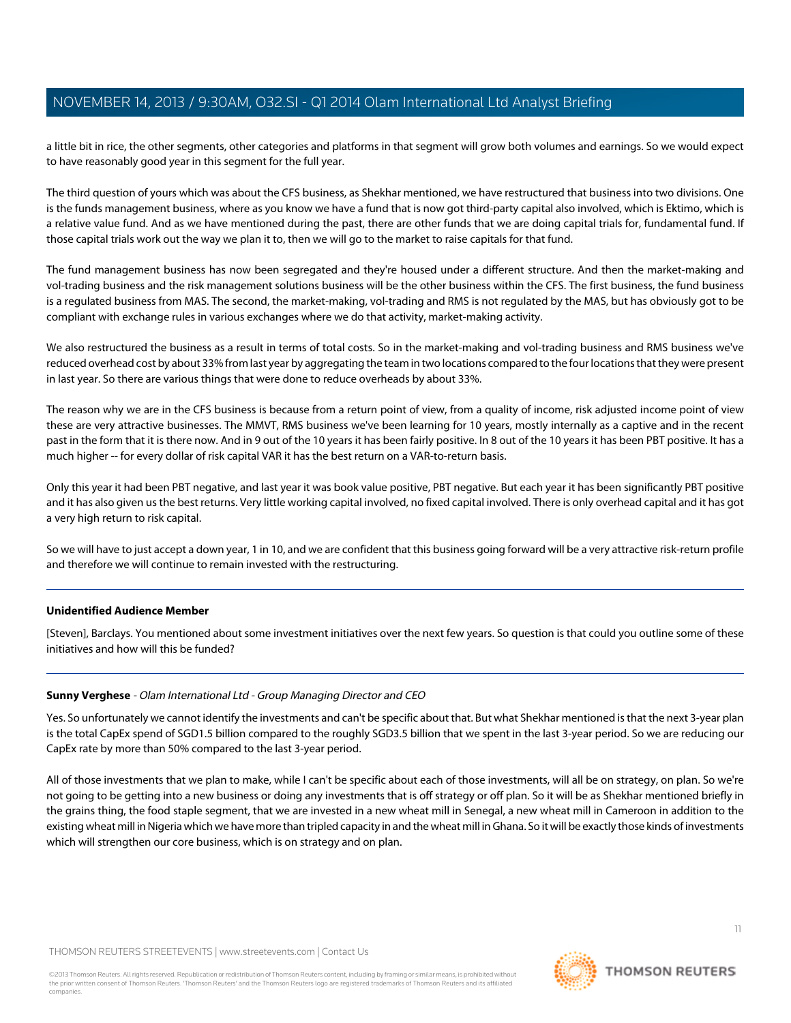a little bit in rice, the other segments, other categories and platforms in that segment will grow both volumes and earnings. So we would expect to have reasonably good year in this segment for the full year.

The third question of yours which was about the CFS business, as Shekhar mentioned, we have restructured that business into two divisions. One is the funds management business, where as you know we have a fund that is now got third-party capital also involved, which is Ektimo, which is a relative value fund. And as we have mentioned during the past, there are other funds that we are doing capital trials for, fundamental fund. If those capital trials work out the way we plan it to, then we will go to the market to raise capitals for that fund.

The fund management business has now been segregated and they're housed under a different structure. And then the market-making and vol-trading business and the risk management solutions business will be the other business within the CFS. The first business, the fund business is a regulated business from MAS. The second, the market-making, vol-trading and RMS is not regulated by the MAS, but has obviously got to be compliant with exchange rules in various exchanges where we do that activity, market-making activity.

We also restructured the business as a result in terms of total costs. So in the market-making and vol-trading business and RMS business we've reduced overhead cost by about 33% from last year by aggregating the team in two locations compared to the four locations that they were present in last year. So there are various things that were done to reduce overheads by about 33%.

The reason why we are in the CFS business is because from a return point of view, from a quality of income, risk adjusted income point of view these are very attractive businesses. The MMVT, RMS business we've been learning for 10 years, mostly internally as a captive and in the recent past in the form that it is there now. And in 9 out of the 10 years it has been fairly positive. In 8 out of the 10 years it has been PBT positive. It has a much higher -- for every dollar of risk capital VAR it has the best return on a VAR-to-return basis.

Only this year it had been PBT negative, and last year it was book value positive, PBT negative. But each year it has been significantly PBT positive and it has also given us the best returns. Very little working capital involved, no fixed capital involved. There is only overhead capital and it has got a very high return to risk capital.

So we will have to just accept a down year, 1 in 10, and we are confident that this business going forward will be a very attractive risk-return profile and therefore we will continue to remain invested with the restructuring.

# **Unidentified Audience Member**

[Steven], Barclays. You mentioned about some investment initiatives over the next few years. So question is that could you outline some of these initiatives and how will this be funded?

#### **Sunny Verghese** - Olam International Ltd - Group Managing Director and CEO

Yes. So unfortunately we cannot identify the investments and can't be specific about that. But what Shekhar mentioned is that the next 3-year plan is the total CapEx spend of SGD1.5 billion compared to the roughly SGD3.5 billion that we spent in the last 3-year period. So we are reducing our CapEx rate by more than 50% compared to the last 3-year period.

All of those investments that we plan to make, while I can't be specific about each of those investments, will all be on strategy, on plan. So we're not going to be getting into a new business or doing any investments that is off strategy or off plan. So it will be as Shekhar mentioned briefly in the grains thing, the food staple segment, that we are invested in a new wheat mill in Senegal, a new wheat mill in Cameroon in addition to the existing wheat mill in Nigeria which we have more than tripled capacity in and the wheat mill in Ghana. So it will be exactly those kinds of investments which will strengthen our core business, which is on strategy and on plan.

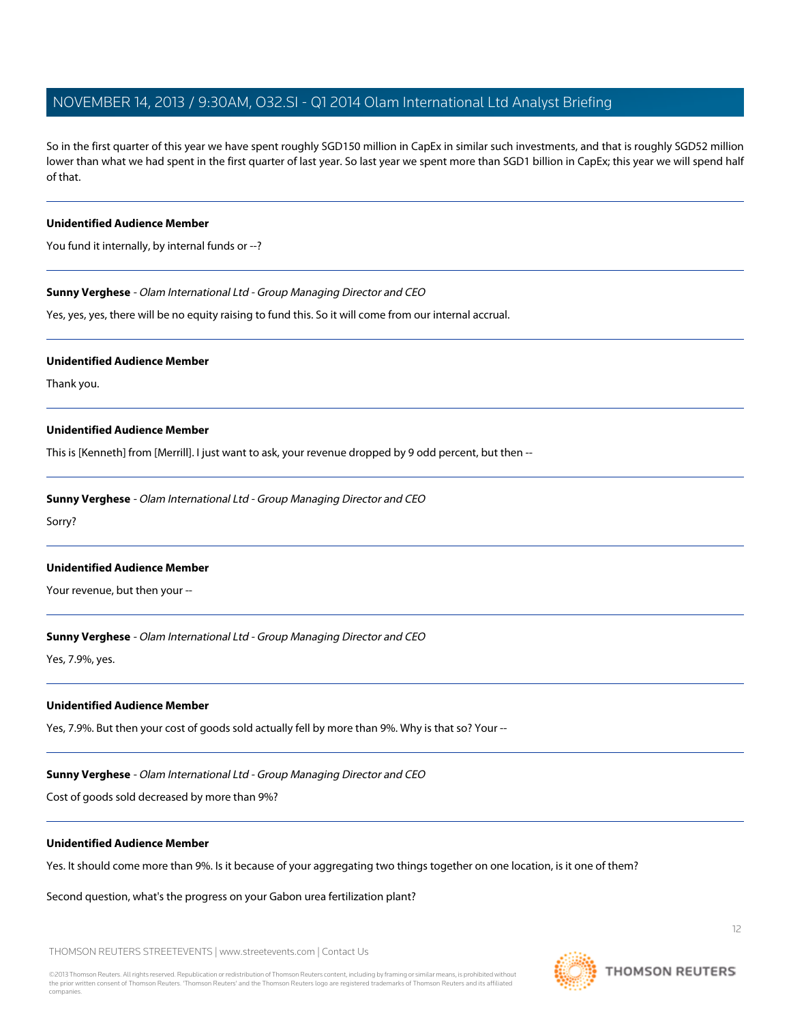So in the first quarter of this year we have spent roughly SGD150 million in CapEx in similar such investments, and that is roughly SGD52 million lower than what we had spent in the first quarter of last year. So last year we spent more than SGD1 billion in CapEx; this year we will spend half of that.

#### **Unidentified Audience Member**

You fund it internally, by internal funds or --?

**Sunny Verghese** - Olam International Ltd - Group Managing Director and CEO

Yes, yes, yes, there will be no equity raising to fund this. So it will come from our internal accrual.

#### **Unidentified Audience Member**

Thank you.

#### **Unidentified Audience Member**

This is [Kenneth] from [Merrill]. I just want to ask, your revenue dropped by 9 odd percent, but then --

**Sunny Verghese** - Olam International Ltd - Group Managing Director and CEO

Sorry?

#### **Unidentified Audience Member**

Your revenue, but then your --

**Sunny Verghese** - Olam International Ltd - Group Managing Director and CEO

Yes, 7.9%, yes.

#### **Unidentified Audience Member**

Yes, 7.9%. But then your cost of goods sold actually fell by more than 9%. Why is that so? Your --

#### **Sunny Verghese** - Olam International Ltd - Group Managing Director and CEO

Cost of goods sold decreased by more than 9%?

#### **Unidentified Audience Member**

Yes. It should come more than 9%. Is it because of your aggregating two things together on one location, is it one of them?

Second question, what's the progress on your Gabon urea fertilization plant?

THOMSON REUTERS STREETEVENTS | [www.streetevents.com](http://www.streetevents.com) | [Contact Us](http://www010.streetevents.com/contact.asp)

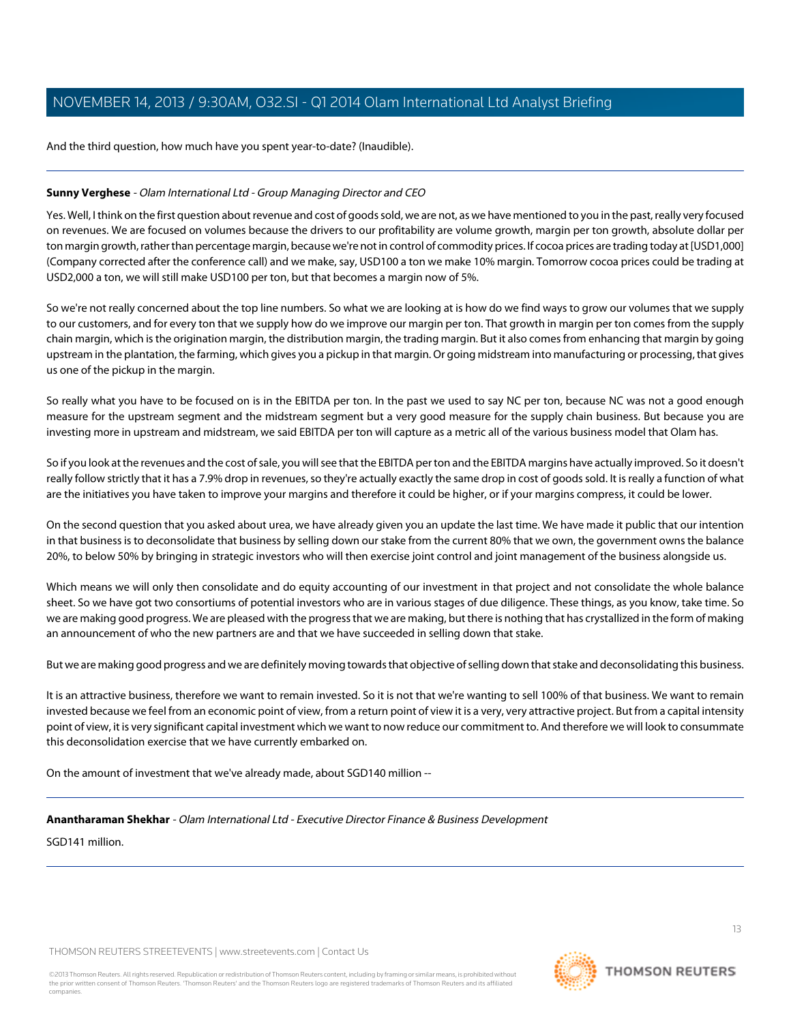And the third question, how much have you spent year-to-date? (Inaudible).

# **Sunny Verghese** - Olam International Ltd - Group Managing Director and CEO

Yes. Well, I think on the first question about revenue and cost of goods sold, we are not, as we have mentioned to you in the past, really very focused on revenues. We are focused on volumes because the drivers to our profitability are volume growth, margin per ton growth, absolute dollar per ton margin growth, rather than percentage margin, because we're not in control of commodity prices. If cocoa prices are trading today at [USD1,000] (Company corrected after the conference call) and we make, say, USD100 a ton we make 10% margin. Tomorrow cocoa prices could be trading at USD2,000 a ton, we will still make USD100 per ton, but that becomes a margin now of 5%.

So we're not really concerned about the top line numbers. So what we are looking at is how do we find ways to grow our volumes that we supply to our customers, and for every ton that we supply how do we improve our margin per ton. That growth in margin per ton comes from the supply chain margin, which is the origination margin, the distribution margin, the trading margin. But it also comes from enhancing that margin by going upstream in the plantation, the farming, which gives you a pickup in that margin. Or going midstream into manufacturing or processing, that gives us one of the pickup in the margin.

So really what you have to be focused on is in the EBITDA per ton. In the past we used to say NC per ton, because NC was not a good enough measure for the upstream segment and the midstream segment but a very good measure for the supply chain business. But because you are investing more in upstream and midstream, we said EBITDA per ton will capture as a metric all of the various business model that Olam has.

So if you look at the revenues and the cost of sale, you will see that the EBITDA per ton and the EBITDA margins have actually improved. So it doesn't really follow strictly that it has a 7.9% drop in revenues, so they're actually exactly the same drop in cost of goods sold. It is really a function of what are the initiatives you have taken to improve your margins and therefore it could be higher, or if your margins compress, it could be lower.

On the second question that you asked about urea, we have already given you an update the last time. We have made it public that our intention in that business is to deconsolidate that business by selling down our stake from the current 80% that we own, the government owns the balance 20%, to below 50% by bringing in strategic investors who will then exercise joint control and joint management of the business alongside us.

Which means we will only then consolidate and do equity accounting of our investment in that project and not consolidate the whole balance sheet. So we have got two consortiums of potential investors who are in various stages of due diligence. These things, as you know, take time. So we are making good progress. We are pleased with the progress that we are making, but there is nothing that has crystallized in the form of making an announcement of who the new partners are and that we have succeeded in selling down that stake.

But we are making good progress and we are definitely moving towards that objective of selling down that stake and deconsolidating this business.

It is an attractive business, therefore we want to remain invested. So it is not that we're wanting to sell 100% of that business. We want to remain invested because we feel from an economic point of view, from a return point of view it is a very, very attractive project. But from a capital intensity point of view, it is very significant capital investment which we want to now reduce our commitment to. And therefore we will look to consummate this deconsolidation exercise that we have currently embarked on.

On the amount of investment that we've already made, about SGD140 million --

#### **Anantharaman Shekhar** - Olam International Ltd - Executive Director Finance & Business Development

SGD141 million.

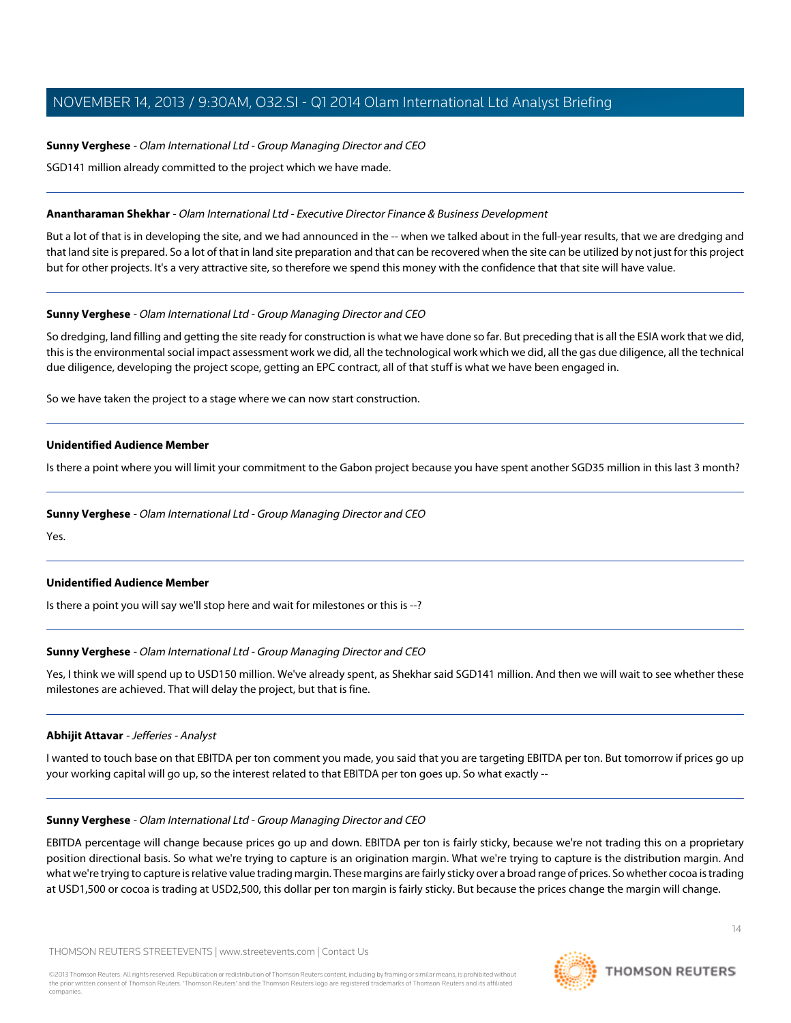# **Sunny Verghese** - Olam International Ltd - Group Managing Director and CEO

SGD141 million already committed to the project which we have made.

### **Anantharaman Shekhar** - Olam International Ltd - Executive Director Finance & Business Development

But a lot of that is in developing the site, and we had announced in the -- when we talked about in the full-year results, that we are dredging and that land site is prepared. So a lot of that in land site preparation and that can be recovered when the site can be utilized by not just for this project but for other projects. It's a very attractive site, so therefore we spend this money with the confidence that that site will have value.

# **Sunny Verghese** - Olam International Ltd - Group Managing Director and CEO

So dredging, land filling and getting the site ready for construction is what we have done so far. But preceding that is all the ESIA work that we did, this is the environmental social impact assessment work we did, all the technological work which we did, all the gas due diligence, all the technical due diligence, developing the project scope, getting an EPC contract, all of that stuff is what we have been engaged in.

So we have taken the project to a stage where we can now start construction.

# **Unidentified Audience Member**

Is there a point where you will limit your commitment to the Gabon project because you have spent another SGD35 million in this last 3 month?

### **Sunny Verghese** - Olam International Ltd - Group Managing Director and CEO

Yes.

# **Unidentified Audience Member**

Is there a point you will say we'll stop here and wait for milestones or this is --?

# **Sunny Verghese** - Olam International Ltd - Group Managing Director and CEO

<span id="page-13-0"></span>Yes, I think we will spend up to USD150 million. We've already spent, as Shekhar said SGD141 million. And then we will wait to see whether these milestones are achieved. That will delay the project, but that is fine.

#### **Abhijit Attavar** - Jefferies - Analyst

I wanted to touch base on that EBITDA per ton comment you made, you said that you are targeting EBITDA per ton. But tomorrow if prices go up your working capital will go up, so the interest related to that EBITDA per ton goes up. So what exactly --

#### **Sunny Verghese** - Olam International Ltd - Group Managing Director and CEO

EBITDA percentage will change because prices go up and down. EBITDA per ton is fairly sticky, because we're not trading this on a proprietary position directional basis. So what we're trying to capture is an origination margin. What we're trying to capture is the distribution margin. And what we're trying to capture is relative value trading margin. These margins are fairly sticky over a broad range of prices. So whether cocoa is trading at USD1,500 or cocoa is trading at USD2,500, this dollar per ton margin is fairly sticky. But because the prices change the margin will change.

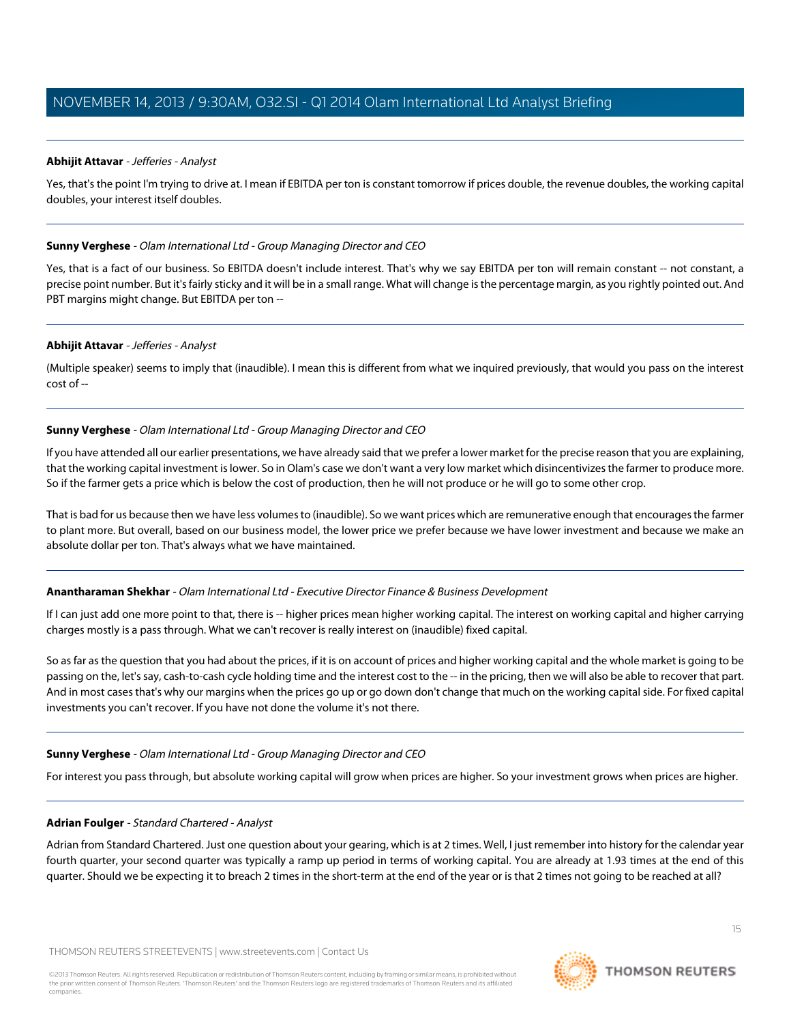# **Abhijit Attavar** - Jefferies - Analyst

Yes, that's the point I'm trying to drive at. I mean if EBITDA per ton is constant tomorrow if prices double, the revenue doubles, the working capital doubles, your interest itself doubles.

# **Sunny Verghese** - Olam International Ltd - Group Managing Director and CEO

Yes, that is a fact of our business. So EBITDA doesn't include interest. That's why we say EBITDA per ton will remain constant -- not constant, a precise point number. But it's fairly sticky and it will be in a small range. What will change is the percentage margin, as you rightly pointed out. And PBT margins might change. But EBITDA per ton --

# **Abhijit Attavar** - Jefferies - Analyst

(Multiple speaker) seems to imply that (inaudible). I mean this is different from what we inquired previously, that would you pass on the interest cost of --

# **Sunny Verghese** - Olam International Ltd - Group Managing Director and CEO

If you have attended all our earlier presentations, we have already said that we prefer a lower market for the precise reason that you are explaining, that the working capital investment is lower. So in Olam's case we don't want a very low market which disincentivizes the farmer to produce more. So if the farmer gets a price which is below the cost of production, then he will not produce or he will go to some other crop.

That is bad for us because then we have less volumes to (inaudible). So we want prices which are remunerative enough that encourages the farmer to plant more. But overall, based on our business model, the lower price we prefer because we have lower investment and because we make an absolute dollar per ton. That's always what we have maintained.

# **Anantharaman Shekhar** - Olam International Ltd - Executive Director Finance & Business Development

If I can just add one more point to that, there is -- higher prices mean higher working capital. The interest on working capital and higher carrying charges mostly is a pass through. What we can't recover is really interest on (inaudible) fixed capital.

So as far as the question that you had about the prices, if it is on account of prices and higher working capital and the whole market is going to be passing on the, let's say, cash-to-cash cycle holding time and the interest cost to the -- in the pricing, then we will also be able to recover that part. And in most cases that's why our margins when the prices go up or go down don't change that much on the working capital side. For fixed capital investments you can't recover. If you have not done the volume it's not there.

#### <span id="page-14-0"></span>**Sunny Verghese** - Olam International Ltd - Group Managing Director and CEO

For interest you pass through, but absolute working capital will grow when prices are higher. So your investment grows when prices are higher.

#### **Adrian Foulger** - Standard Chartered - Analyst

Adrian from Standard Chartered. Just one question about your gearing, which is at 2 times. Well, I just remember into history for the calendar year fourth quarter, your second quarter was typically a ramp up period in terms of working capital. You are already at 1.93 times at the end of this quarter. Should we be expecting it to breach 2 times in the short-term at the end of the year or is that 2 times not going to be reached at all?

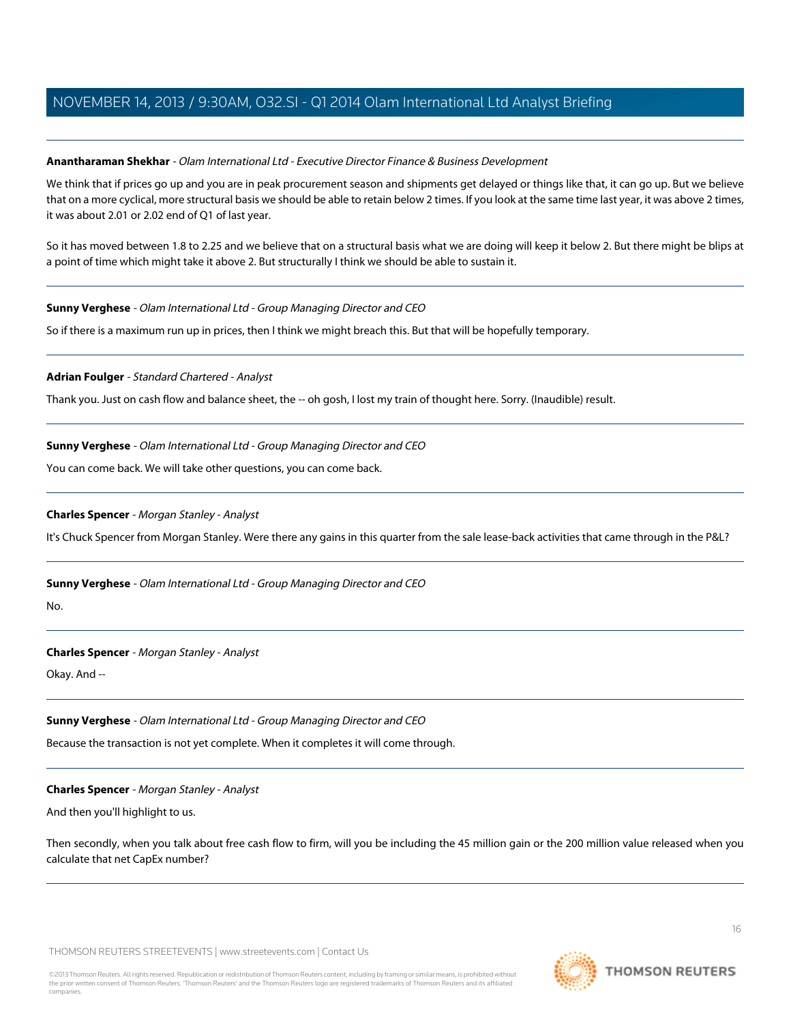# **Anantharaman Shekhar** - Olam International Ltd - Executive Director Finance & Business Development

We think that if prices go up and you are in peak procurement season and shipments get delayed or things like that, it can go up. But we believe that on a more cyclical, more structural basis we should be able to retain below 2 times. If you look at the same time last year, it was above 2 times, it was about 2.01 or 2.02 end of Q1 of last year.

So it has moved between 1.8 to 2.25 and we believe that on a structural basis what we are doing will keep it below 2. But there might be blips at a point of time which might take it above 2. But structurally I think we should be able to sustain it.

# **Sunny Verghese** - Olam International Ltd - Group Managing Director and CEO

So if there is a maximum run up in prices, then I think we might breach this. But that will be hopefully temporary.

# **Adrian Foulger** - Standard Chartered - Analyst

Thank you. Just on cash flow and balance sheet, the -- oh gosh, I lost my train of thought here. Sorry. (Inaudible) result.

# **Sunny Verghese** - Olam International Ltd - Group Managing Director and CEO

<span id="page-15-0"></span>You can come back. We will take other questions, you can come back.

# **Charles Spencer** - Morgan Stanley - Analyst

It's Chuck Spencer from Morgan Stanley. Were there any gains in this quarter from the sale lease-back activities that came through in the P&L?

**Sunny Verghese** - Olam International Ltd - Group Managing Director and CEO

No.

# **Charles Spencer** - Morgan Stanley - Analyst

Okay. And --

# **Sunny Verghese** - Olam International Ltd - Group Managing Director and CEO

Because the transaction is not yet complete. When it completes it will come through.

#### **Charles Spencer** - Morgan Stanley - Analyst

And then you'll highlight to us.

Then secondly, when you talk about free cash flow to firm, will you be including the 45 million gain or the 200 million value released when you calculate that net CapEx number?

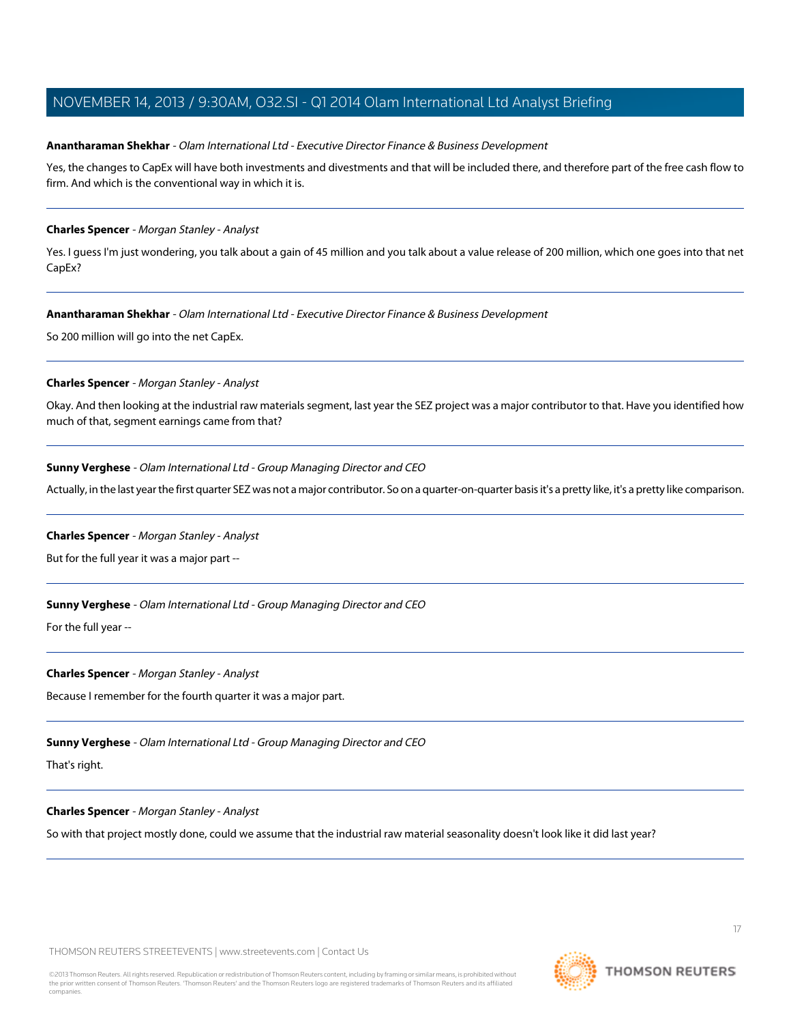### **Anantharaman Shekhar** - Olam International Ltd - Executive Director Finance & Business Development

Yes, the changes to CapEx will have both investments and divestments and that will be included there, and therefore part of the free cash flow to firm. And which is the conventional way in which it is.

### **Charles Spencer** - Morgan Stanley - Analyst

Yes. I guess I'm just wondering, you talk about a gain of 45 million and you talk about a value release of 200 million, which one goes into that net CapEx?

# **Anantharaman Shekhar** - Olam International Ltd - Executive Director Finance & Business Development

So 200 million will go into the net CapEx.

# **Charles Spencer** - Morgan Stanley - Analyst

Okay. And then looking at the industrial raw materials segment, last year the SEZ project was a major contributor to that. Have you identified how much of that, segment earnings came from that?

# **Sunny Verghese** - Olam International Ltd - Group Managing Director and CEO

Actually, in the last year the first quarter SEZ was not a major contributor. So on a quarter-on-quarter basis it's a pretty like, it's a pretty like comparison.

#### **Charles Spencer** - Morgan Stanley - Analyst

But for the full year it was a major part --

# **Sunny Verghese** - Olam International Ltd - Group Managing Director and CEO

For the full year --

# **Charles Spencer** - Morgan Stanley - Analyst

Because I remember for the fourth quarter it was a major part.

**Sunny Verghese** - Olam International Ltd - Group Managing Director and CEO

That's right.

#### **Charles Spencer** - Morgan Stanley - Analyst

So with that project mostly done, could we assume that the industrial raw material seasonality doesn't look like it did last year?

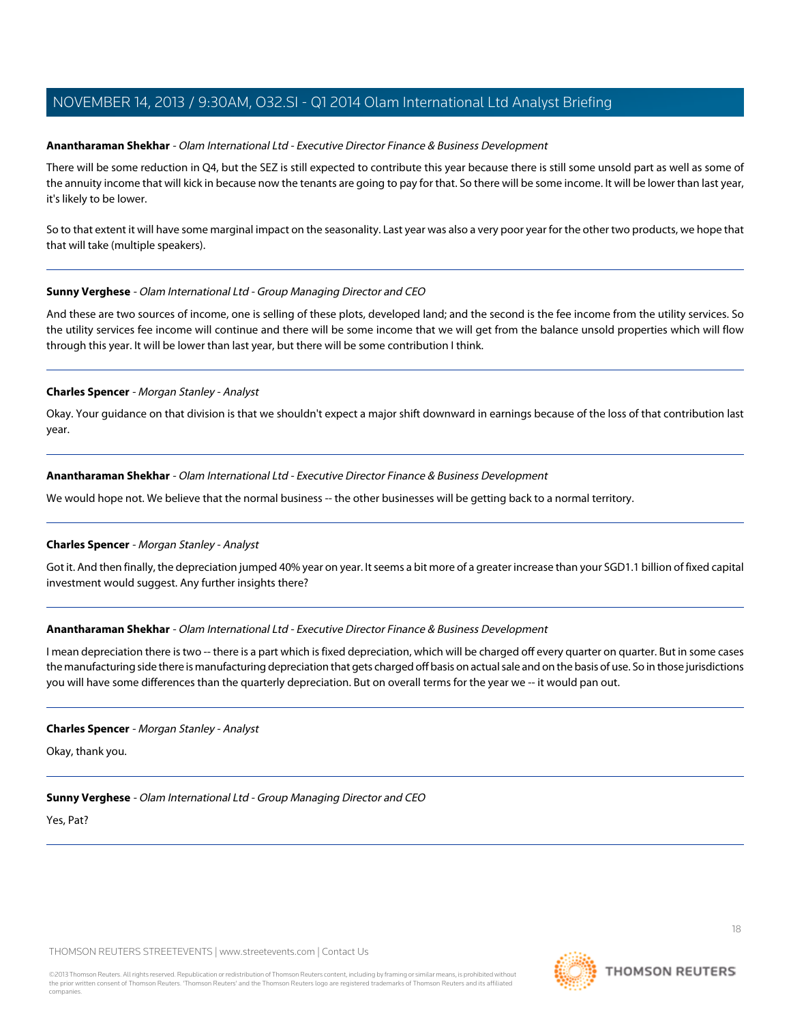### **Anantharaman Shekhar** - Olam International Ltd - Executive Director Finance & Business Development

There will be some reduction in Q4, but the SEZ is still expected to contribute this year because there is still some unsold part as well as some of the annuity income that will kick in because now the tenants are going to pay for that. So there will be some income. It will be lower than last year, it's likely to be lower.

So to that extent it will have some marginal impact on the seasonality. Last year was also a very poor year for the other two products, we hope that that will take (multiple speakers).

# **Sunny Verghese** - Olam International Ltd - Group Managing Director and CEO

And these are two sources of income, one is selling of these plots, developed land; and the second is the fee income from the utility services. So the utility services fee income will continue and there will be some income that we will get from the balance unsold properties which will flow through this year. It will be lower than last year, but there will be some contribution I think.

# **Charles Spencer** - Morgan Stanley - Analyst

Okay. Your guidance on that division is that we shouldn't expect a major shift downward in earnings because of the loss of that contribution last year.

# **Anantharaman Shekhar** - Olam International Ltd - Executive Director Finance & Business Development

We would hope not. We believe that the normal business -- the other businesses will be getting back to a normal territory.

# **Charles Spencer** - Morgan Stanley - Analyst

Got it. And then finally, the depreciation jumped 40% year on year. It seems a bit more of a greater increase than your SGD1.1 billion of fixed capital investment would suggest. Any further insights there?

# **Anantharaman Shekhar** - Olam International Ltd - Executive Director Finance & Business Development

I mean depreciation there is two -- there is a part which is fixed depreciation, which will be charged off every quarter on quarter. But in some cases the manufacturing side there is manufacturing depreciation that gets charged off basis on actual sale and on the basis of use. So in those jurisdictions you will have some differences than the quarterly depreciation. But on overall terms for the year we -- it would pan out.

#### **Charles Spencer** - Morgan Stanley - Analyst

Okay, thank you.

# **Sunny Verghese** - Olam International Ltd - Group Managing Director and CEO

Yes, Pat?

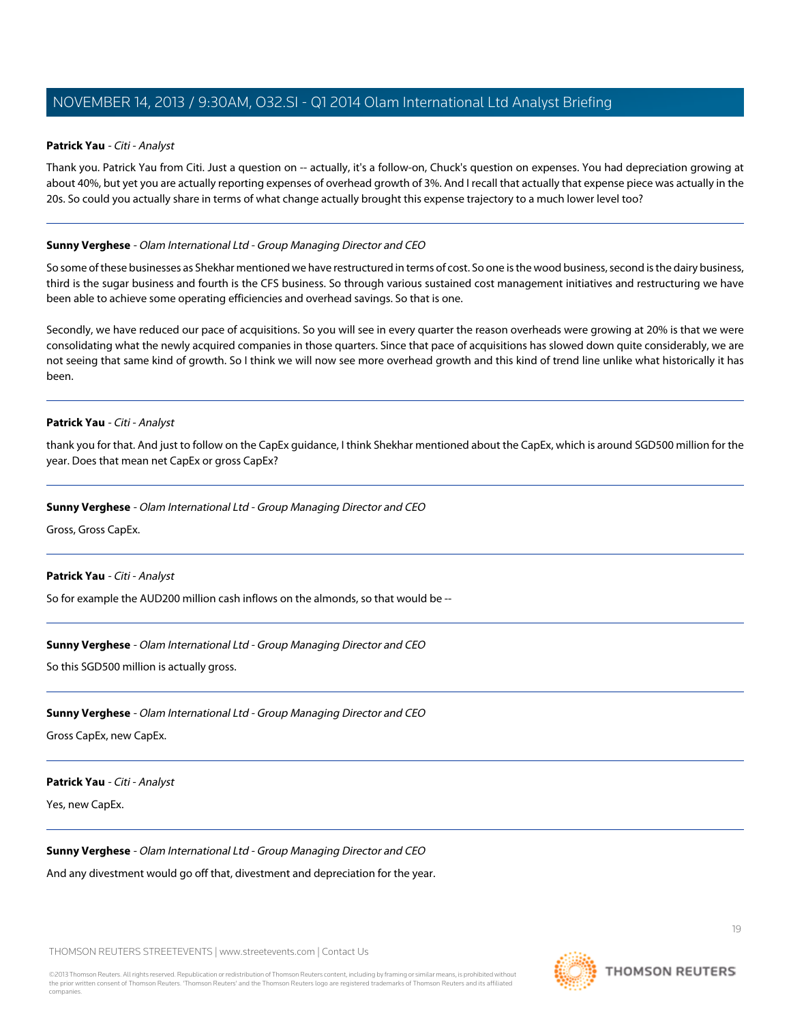### <span id="page-18-0"></span>**Patrick Yau** - Citi - Analyst

Thank you. Patrick Yau from Citi. Just a question on -- actually, it's a follow-on, Chuck's question on expenses. You had depreciation growing at about 40%, but yet you are actually reporting expenses of overhead growth of 3%. And I recall that actually that expense piece was actually in the 20s. So could you actually share in terms of what change actually brought this expense trajectory to a much lower level too?

# **Sunny Verghese** - Olam International Ltd - Group Managing Director and CEO

So some of these businesses as Shekhar mentioned we have restructured in terms of cost. So one is the wood business, second is the dairy business, third is the sugar business and fourth is the CFS business. So through various sustained cost management initiatives and restructuring we have been able to achieve some operating efficiencies and overhead savings. So that is one.

Secondly, we have reduced our pace of acquisitions. So you will see in every quarter the reason overheads were growing at 20% is that we were consolidating what the newly acquired companies in those quarters. Since that pace of acquisitions has slowed down quite considerably, we are not seeing that same kind of growth. So I think we will now see more overhead growth and this kind of trend line unlike what historically it has been.

#### **Patrick Yau** - Citi - Analyst

thank you for that. And just to follow on the CapEx guidance, I think Shekhar mentioned about the CapEx, which is around SGD500 million for the year. Does that mean net CapEx or gross CapEx?

#### **Sunny Verghese** - Olam International Ltd - Group Managing Director and CEO

Gross, Gross CapEx.

#### **Patrick Yau** - Citi - Analyst

So for example the AUD200 million cash inflows on the almonds, so that would be --

#### **Sunny Verghese** - Olam International Ltd - Group Managing Director and CEO

So this SGD500 million is actually gross.

# **Sunny Verghese** - Olam International Ltd - Group Managing Director and CEO

Gross CapEx, new CapEx.

#### **Patrick Yau** - Citi - Analyst

Yes, new CapEx.

#### **Sunny Verghese** - Olam International Ltd - Group Managing Director and CEO

And any divestment would go off that, divestment and depreciation for the year.

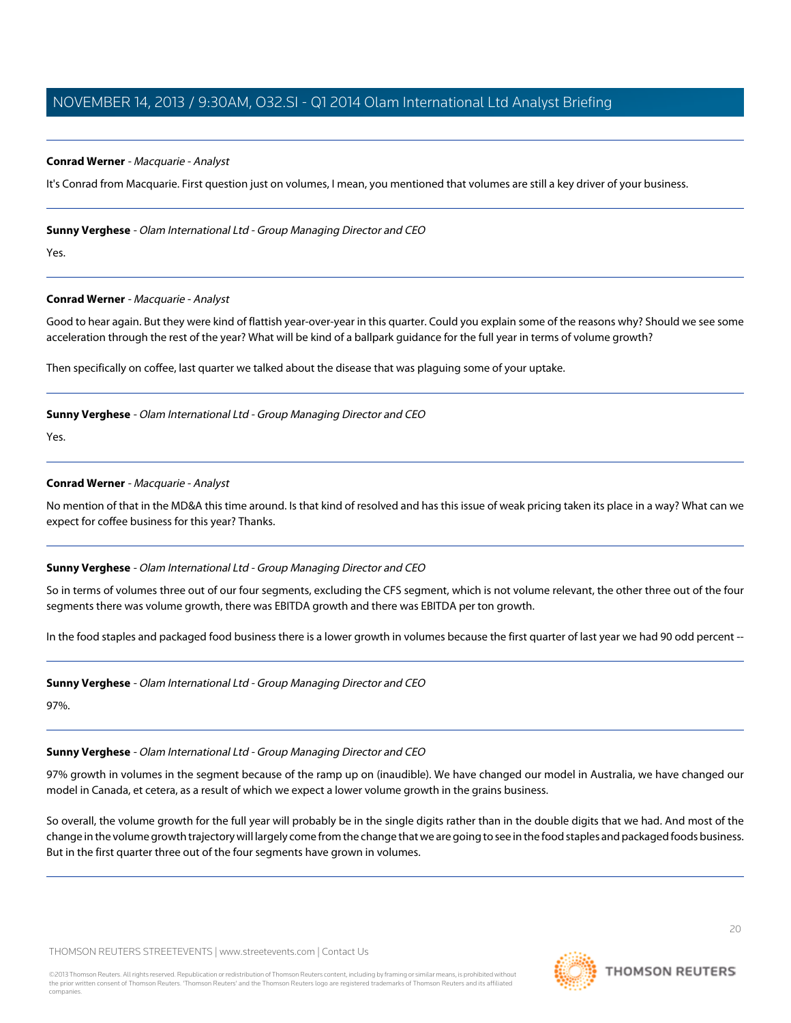### <span id="page-19-0"></span>**Conrad Werner** - Macquarie - Analyst

It's Conrad from Macquarie. First question just on volumes, I mean, you mentioned that volumes are still a key driver of your business.

#### **Sunny Verghese** - Olam International Ltd - Group Managing Director and CEO

Yes.

#### **Conrad Werner** - Macquarie - Analyst

Good to hear again. But they were kind of flattish year-over-year in this quarter. Could you explain some of the reasons why? Should we see some acceleration through the rest of the year? What will be kind of a ballpark guidance for the full year in terms of volume growth?

Then specifically on coffee, last quarter we talked about the disease that was plaguing some of your uptake.

#### **Sunny Verghese** - Olam International Ltd - Group Managing Director and CEO

Yes.

# **Conrad Werner** - Macquarie - Analyst

No mention of that in the MD&A this time around. Is that kind of resolved and has this issue of weak pricing taken its place in a way? What can we expect for coffee business for this year? Thanks.

#### **Sunny Verghese** - Olam International Ltd - Group Managing Director and CEO

So in terms of volumes three out of our four segments, excluding the CFS segment, which is not volume relevant, the other three out of the four segments there was volume growth, there was EBITDA growth and there was EBITDA per ton growth.

In the food staples and packaged food business there is a lower growth in volumes because the first quarter of last year we had 90 odd percent --

#### **Sunny Verghese** - Olam International Ltd - Group Managing Director and CEO

97%.

#### **Sunny Verghese** - Olam International Ltd - Group Managing Director and CEO

97% growth in volumes in the segment because of the ramp up on (inaudible). We have changed our model in Australia, we have changed our model in Canada, et cetera, as a result of which we expect a lower volume growth in the grains business.

So overall, the volume growth for the full year will probably be in the single digits rather than in the double digits that we had. And most of the change in the volume growth trajectory will largely come from the change that we are going to see in the food staples and packaged foods business. But in the first quarter three out of the four segments have grown in volumes.

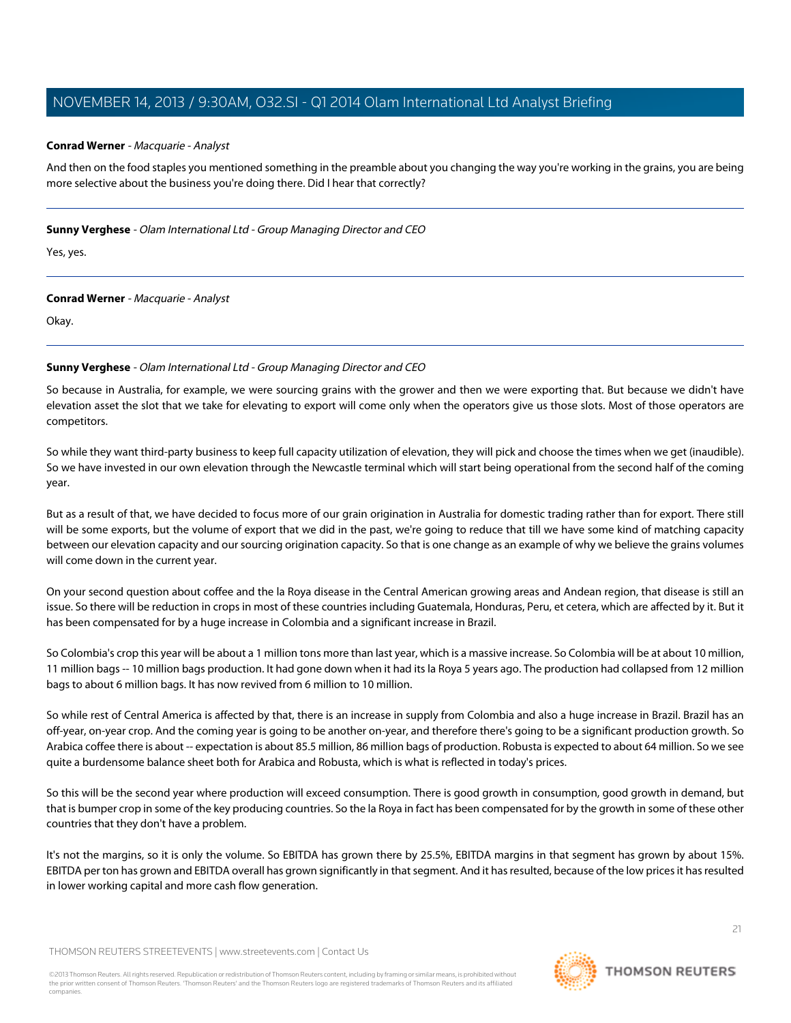# **Conrad Werner** - Macquarie - Analyst

And then on the food staples you mentioned something in the preamble about you changing the way you're working in the grains, you are being more selective about the business you're doing there. Did I hear that correctly?

### **Sunny Verghese** - Olam International Ltd - Group Managing Director and CEO

Yes, yes.

# **Conrad Werner** - Macquarie - Analyst

Okay.

# **Sunny Verghese** - Olam International Ltd - Group Managing Director and CEO

So because in Australia, for example, we were sourcing grains with the grower and then we were exporting that. But because we didn't have elevation asset the slot that we take for elevating to export will come only when the operators give us those slots. Most of those operators are competitors.

So while they want third-party business to keep full capacity utilization of elevation, they will pick and choose the times when we get (inaudible). So we have invested in our own elevation through the Newcastle terminal which will start being operational from the second half of the coming year.

But as a result of that, we have decided to focus more of our grain origination in Australia for domestic trading rather than for export. There still will be some exports, but the volume of export that we did in the past, we're going to reduce that till we have some kind of matching capacity between our elevation capacity and our sourcing origination capacity. So that is one change as an example of why we believe the grains volumes will come down in the current year.

On your second question about coffee and the la Roya disease in the Central American growing areas and Andean region, that disease is still an issue. So there will be reduction in crops in most of these countries including Guatemala, Honduras, Peru, et cetera, which are affected by it. But it has been compensated for by a huge increase in Colombia and a significant increase in Brazil.

So Colombia's crop this year will be about a 1 million tons more than last year, which is a massive increase. So Colombia will be at about 10 million, 11 million bags -- 10 million bags production. It had gone down when it had its la Roya 5 years ago. The production had collapsed from 12 million bags to about 6 million bags. It has now revived from 6 million to 10 million.

So while rest of Central America is affected by that, there is an increase in supply from Colombia and also a huge increase in Brazil. Brazil has an off-year, on-year crop. And the coming year is going to be another on-year, and therefore there's going to be a significant production growth. So Arabica coffee there is about -- expectation is about 85.5 million, 86 million bags of production. Robusta is expected to about 64 million. So we see quite a burdensome balance sheet both for Arabica and Robusta, which is what is reflected in today's prices.

So this will be the second year where production will exceed consumption. There is good growth in consumption, good growth in demand, but that is bumper crop in some of the key producing countries. So the la Roya in fact has been compensated for by the growth in some of these other countries that they don't have a problem.

It's not the margins, so it is only the volume. So EBITDA has grown there by 25.5%, EBITDA margins in that segment has grown by about 15%. EBITDA per ton has grown and EBITDA overall has grown significantly in that segment. And it has resulted, because of the low prices it has resulted in lower working capital and more cash flow generation.

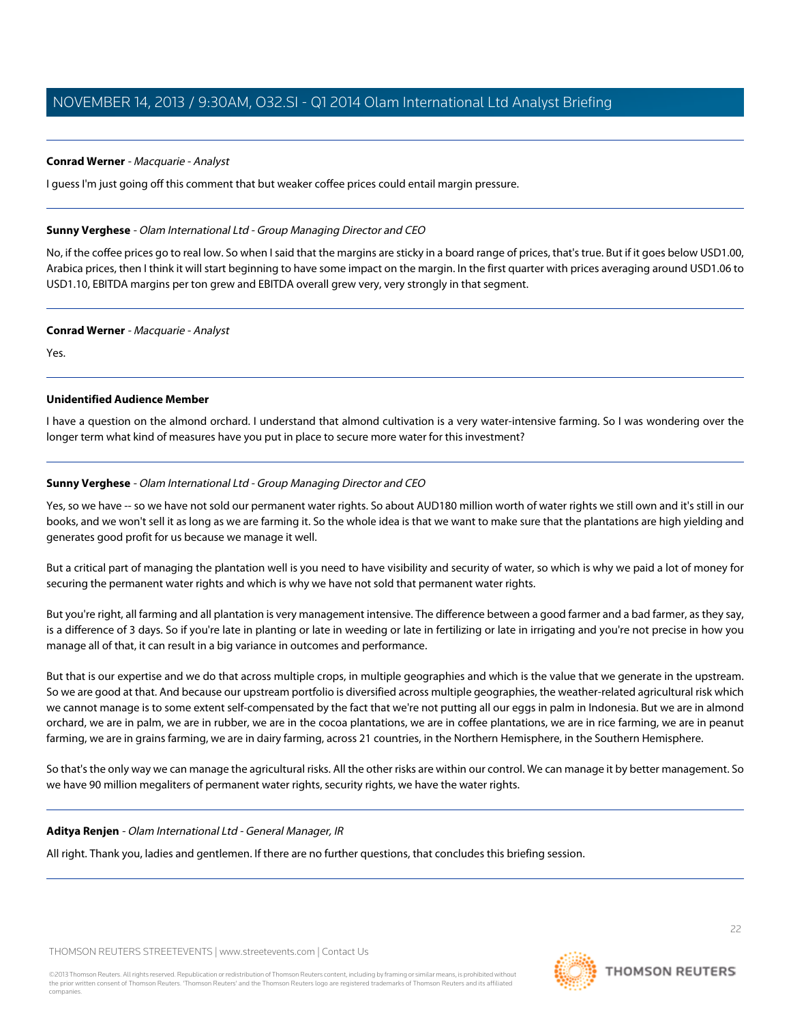# **Conrad Werner** - Macquarie - Analyst

I guess I'm just going off this comment that but weaker coffee prices could entail margin pressure.

# **Sunny Verghese** - Olam International Ltd - Group Managing Director and CEO

No, if the coffee prices go to real low. So when I said that the margins are sticky in a board range of prices, that's true. But if it goes below USD1.00, Arabica prices, then I think it will start beginning to have some impact on the margin. In the first quarter with prices averaging around USD1.06 to USD1.10, EBITDA margins per ton grew and EBITDA overall grew very, very strongly in that segment.

# **Conrad Werner** - Macquarie - Analyst

Yes.

# **Unidentified Audience Member**

I have a question on the almond orchard. I understand that almond cultivation is a very water-intensive farming. So I was wondering over the longer term what kind of measures have you put in place to secure more water for this investment?

# **Sunny Verghese** - Olam International Ltd - Group Managing Director and CEO

Yes, so we have -- so we have not sold our permanent water rights. So about AUD180 million worth of water rights we still own and it's still in our books, and we won't sell it as long as we are farming it. So the whole idea is that we want to make sure that the plantations are high yielding and generates good profit for us because we manage it well.

But a critical part of managing the plantation well is you need to have visibility and security of water, so which is why we paid a lot of money for securing the permanent water rights and which is why we have not sold that permanent water rights.

But you're right, all farming and all plantation is very management intensive. The difference between a good farmer and a bad farmer, as they say, is a difference of 3 days. So if you're late in planting or late in weeding or late in fertilizing or late in irrigating and you're not precise in how you manage all of that, it can result in a big variance in outcomes and performance.

But that is our expertise and we do that across multiple crops, in multiple geographies and which is the value that we generate in the upstream. So we are good at that. And because our upstream portfolio is diversified across multiple geographies, the weather-related agricultural risk which we cannot manage is to some extent self-compensated by the fact that we're not putting all our eggs in palm in Indonesia. But we are in almond orchard, we are in palm, we are in rubber, we are in the cocoa plantations, we are in coffee plantations, we are in rice farming, we are in peanut farming, we are in grains farming, we are in dairy farming, across 21 countries, in the Northern Hemisphere, in the Southern Hemisphere.

So that's the only way we can manage the agricultural risks. All the other risks are within our control. We can manage it by better management. So we have 90 million megaliters of permanent water rights, security rights, we have the water rights.

# **Aditya Renjen** - Olam International Ltd - General Manager, IR

All right. Thank you, ladies and gentlemen. If there are no further questions, that concludes this briefing session.